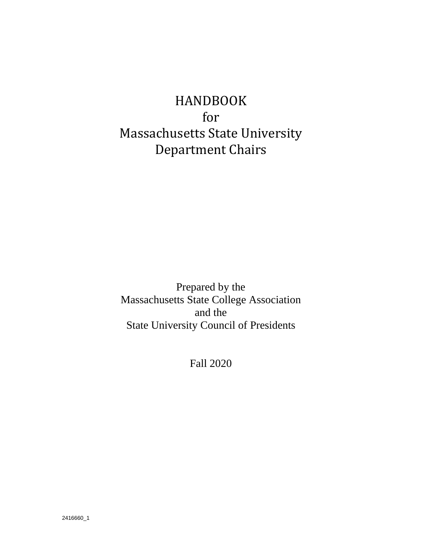# HANDBOOK for Massachusetts State University Department Chairs

Prepared by the Massachusetts State College Association and the State University Council of Presidents

Fall 2020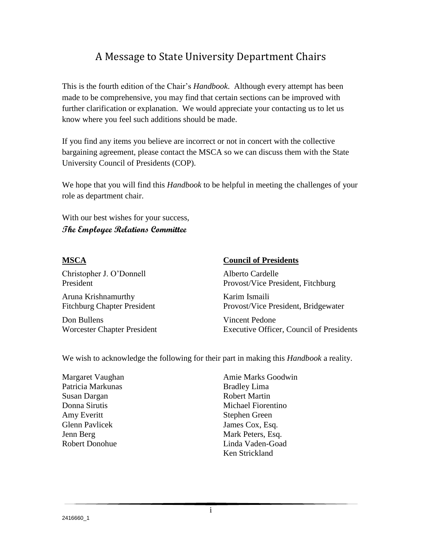# A Message to State University Department Chairs

This is the fourth edition of the Chair's *Handbook*. Although every attempt has been made to be comprehensive, you may find that certain sections can be improved with further clarification or explanation. We would appreciate your contacting us to let us know where you feel such additions should be made.

If you find any items you believe are incorrect or not in concert with the collective bargaining agreement, please contact the MSCA so we can discuss them with the State University Council of Presidents (COP).

We hope that you will find this *Handbook* to be helpful in meeting the challenges of your role as department chair.

With our best wishes for your success, **The Employee Relations Committee**

Christopher J. O'Donnell Alberto Cardelle Aruna Krishnamurthy **Karim Ismaili** 

Don Bullens Vincent Pedone

#### **MSCA Council of Presidents**

President Provost/Vice President, Fitchburg

Fitchburg Chapter President Provost/Vice President, Bridgewater

Worcester Chapter President Executive Officer, Council of Presidents

We wish to acknowledge the following for their part in making this *Handbook* a reality.

| Margaret Vaughan      |
|-----------------------|
| Patricia Markunas     |
| Susan Dargan          |
| Donna Sirutis         |
| Amy Everitt           |
| <b>Glenn Pavlicek</b> |
| Jenn Berg             |
| <b>Robert Donohue</b> |
|                       |

Amie Marks Goodwin Bradley Lima Robert Martin Michael Fiorentino Stephen Green James Cox, Esq. Mark Peters, Esq. Linda Vaden-Goad Ken Strickland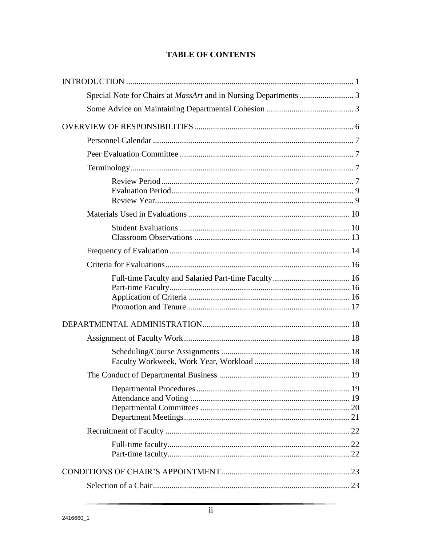## **TABLE OF CONTENTS**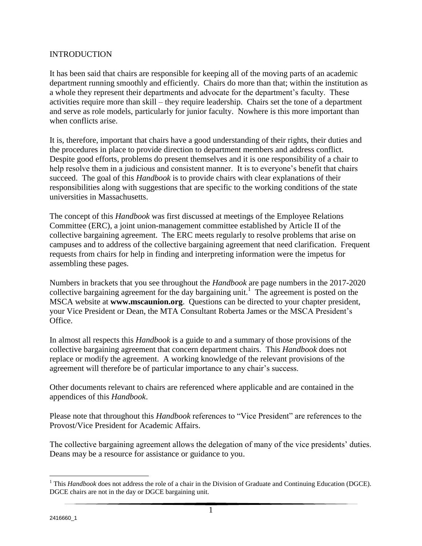#### INTRODUCTION

It has been said that chairs are responsible for keeping all of the moving parts of an academic department running smoothly and efficiently. Chairs do more than that; within the institution as a whole they represent their departments and advocate for the department's faculty. These activities require more than skill – they require leadership. Chairs set the tone of a department and serve as role models, particularly for junior faculty. Nowhere is this more important than when conflicts arise.

It is, therefore, important that chairs have a good understanding of their rights, their duties and the procedures in place to provide direction to department members and address conflict. Despite good efforts, problems do present themselves and it is one responsibility of a chair to help resolve them in a judicious and consistent manner. It is to everyone's benefit that chairs succeed. The goal of this *Handbook* is to provide chairs with clear explanations of their responsibilities along with suggestions that are specific to the working conditions of the state universities in Massachusetts.

The concept of this *Handbook* was first discussed at meetings of the Employee Relations Committee (ERC), a joint union-management committee established by Article II of the collective bargaining agreement. The ERC meets regularly to resolve problems that arise on campuses and to address of the collective bargaining agreement that need clarification. Frequent requests from chairs for help in finding and interpreting information were the impetus for assembling these pages.

Numbers in brackets that you see throughout the *Handbook* are page numbers in the 2017-2020 collective bargaining agreement for the day bargaining unit.<sup>1</sup> The agreement is posted on the MSCA website at **[www.mscaunion.org](http://www.mscaunion.org/)**. Questions can be directed to your chapter president, your Vice President or Dean, the MTA Consultant Roberta James or the MSCA President's Office.

In almost all respects this *Handbook* is a guide to and a summary of those provisions of the collective bargaining agreement that concern department chairs. This *Handbook* does not replace or modify the agreement. A working knowledge of the relevant provisions of the agreement will therefore be of particular importance to any chair's success.

Other documents relevant to chairs are referenced where applicable and are contained in the appendices of this *Handbook*.

Please note that throughout this *Handbook* references to "Vice President" are references to the Provost/Vice President for Academic Affairs.

The collective bargaining agreement allows the delegation of many of the vice presidents' duties. Deans may be a resource for assistance or guidance to you.

 $\overline{a}$ <sup>1</sup> This *Handbook* does not address the role of a chair in the Division of Graduate and Continuing Education (DGCE). DGCE chairs are not in the day or DGCE bargaining unit.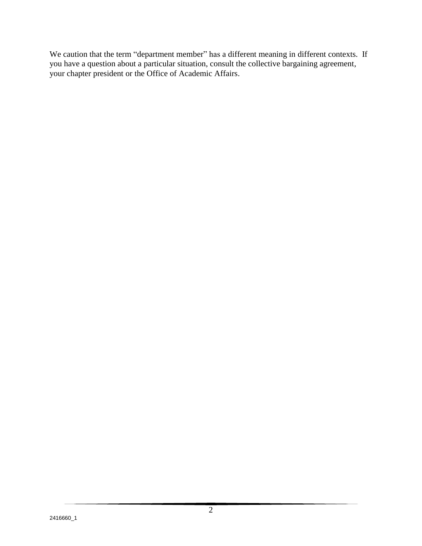We caution that the term "department member" has a different meaning in different contexts. If you have a question about a particular situation, consult the collective bargaining agreement, your chapter president or the Office of Academic Affairs.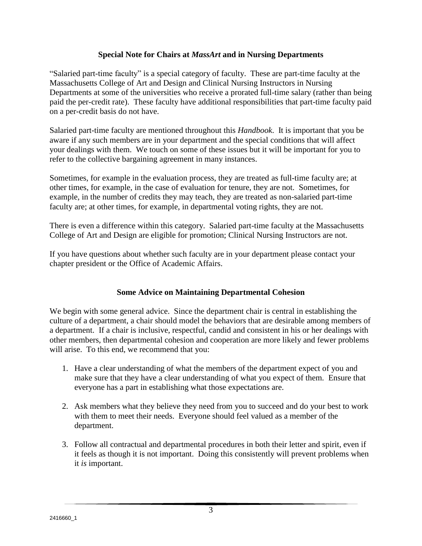#### **Special Note for Chairs at** *MassArt* **and in Nursing Departments**

"Salaried part-time faculty" is a special category of faculty. These are part-time faculty at the Massachusetts College of Art and Design and Clinical Nursing Instructors in Nursing Departments at some of the universities who receive a prorated full-time salary (rather than being paid the per-credit rate). These faculty have additional responsibilities that part-time faculty paid on a per-credit basis do not have.

Salaried part-time faculty are mentioned throughout this *Handbook*. It is important that you be aware if any such members are in your department and the special conditions that will affect your dealings with them. We touch on some of these issues but it will be important for you to refer to the collective bargaining agreement in many instances.

Sometimes, for example in the evaluation process, they are treated as full-time faculty are; at other times, for example, in the case of evaluation for tenure, they are not. Sometimes, for example, in the number of credits they may teach, they are treated as non-salaried part-time faculty are; at other times, for example, in departmental voting rights, they are not.

There is even a difference within this category. Salaried part-time faculty at the Massachusetts College of Art and Design are eligible for promotion; Clinical Nursing Instructors are not.

If you have questions about whether such faculty are in your department please contact your chapter president or the Office of Academic Affairs.

## **Some Advice on Maintaining Departmental Cohesion**

We begin with some general advice. Since the department chair is central in establishing the culture of a department, a chair should model the behaviors that are desirable among members of a department. If a chair is inclusive, respectful, candid and consistent in his or her dealings with other members, then departmental cohesion and cooperation are more likely and fewer problems will arise. To this end, we recommend that you:

- 1. Have a clear understanding of what the members of the department expect of you and make sure that they have a clear understanding of what you expect of them. Ensure that everyone has a part in establishing what those expectations are.
- 2. Ask members what they believe they need from you to succeed and do your best to work with them to meet their needs. Everyone should feel valued as a member of the department.
- 3. Follow all contractual and departmental procedures in both their letter and spirit, even if it feels as though it is not important. Doing this consistently will prevent problems when it *is* important.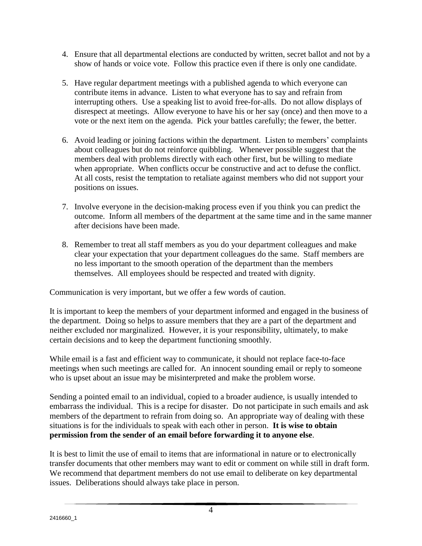- 4. Ensure that all departmental elections are conducted by written, secret ballot and not by a show of hands or voice vote. Follow this practice even if there is only one candidate.
- 5. Have regular department meetings with a published agenda to which everyone can contribute items in advance. Listen to what everyone has to say and refrain from interrupting others. Use a speaking list to avoid free-for-alls. Do not allow displays of disrespect at meetings. Allow everyone to have his or her say (once) and then move to a vote or the next item on the agenda. Pick your battles carefully; the fewer, the better.
- 6. Avoid leading or joining factions within the department. Listen to members' complaints about colleagues but do not reinforce quibbling. Whenever possible suggest that the members deal with problems directly with each other first, but be willing to mediate when appropriate. When conflicts occur be constructive and act to defuse the conflict. At all costs, resist the temptation to retaliate against members who did not support your positions on issues.
- 7. Involve everyone in the decision-making process even if you think you can predict the outcome. Inform all members of the department at the same time and in the same manner after decisions have been made.
- 8. Remember to treat all staff members as you do your department colleagues and make clear your expectation that your department colleagues do the same. Staff members are no less important to the smooth operation of the department than the members themselves. All employees should be respected and treated with dignity.

Communication is very important, but we offer a few words of caution.

It is important to keep the members of your department informed and engaged in the business of the department. Doing so helps to assure members that they are a part of the department and neither excluded nor marginalized. However, it is your responsibility, ultimately, to make certain decisions and to keep the department functioning smoothly.

While email is a fast and efficient way to communicate, it should not replace face-to-face meetings when such meetings are called for. An innocent sounding email or reply to someone who is upset about an issue may be misinterpreted and make the problem worse.

Sending a pointed email to an individual, copied to a broader audience, is usually intended to embarrass the individual. This is a recipe for disaster. Do not participate in such emails and ask members of the department to refrain from doing so. An appropriate way of dealing with these situations is for the individuals to speak with each other in person. **It is wise to obtain permission from the sender of an email before forwarding it to anyone else**.

It is best to limit the use of email to items that are informational in nature or to electronically transfer documents that other members may want to edit or comment on while still in draft form. We recommend that department members do not use email to deliberate on key departmental issues. Deliberations should always take place in person.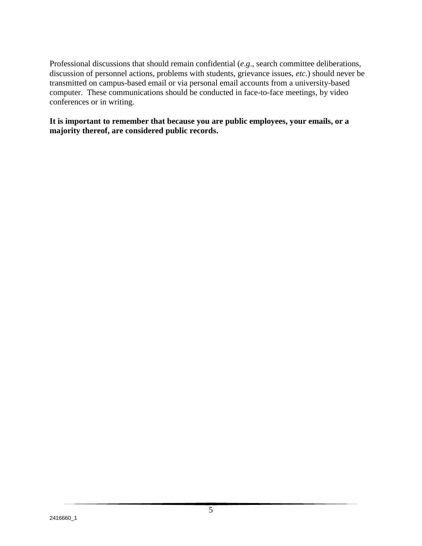Professional discussions that should remain confidential (*e*.*g*., search committee deliberations, discussion of personnel actions, problems with students, grievance issues, *etc*.) should never be transmitted on campus-based email or via personal email accounts from a university-based computer. These communications should be conducted in face-to-face meetings, by video conferences or in writing.

**It is important to remember that because you are public employees, your emails, or a majority thereof, are considered public records.**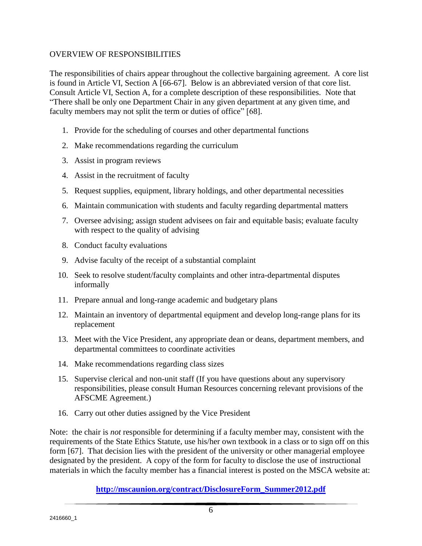#### OVERVIEW OF RESPONSIBILITIES

The responsibilities of chairs appear throughout the collective bargaining agreement. A core list is found in Article VI, Section A [66-67]. Below is an abbreviated version of that core list. Consult Article VI, Section A, for a complete description of these responsibilities. Note that "There shall be only one Department Chair in any given department at any given time, and faculty members may not split the term or duties of office" [68].

- 1. Provide for the scheduling of courses and other departmental functions
- 2. Make recommendations regarding the curriculum
- 3. Assist in program reviews
- 4. Assist in the recruitment of faculty
- 5. Request supplies, equipment, library holdings, and other departmental necessities
- 6. Maintain communication with students and faculty regarding departmental matters
- 7. Oversee advising; assign student advisees on fair and equitable basis; evaluate faculty with respect to the quality of advising
- 8. Conduct faculty evaluations
- 9. Advise faculty of the receipt of a substantial complaint
- 10. Seek to resolve student/faculty complaints and other intra-departmental disputes informally
- 11. Prepare annual and long-range academic and budgetary plans
- 12. Maintain an inventory of departmental equipment and develop long-range plans for its replacement
- 13. Meet with the Vice President, any appropriate dean or deans, department members, and departmental committees to coordinate activities
- 14. Make recommendations regarding class sizes
- 15. Supervise clerical and non-unit staff (If you have questions about any supervisory responsibilities, please consult Human Resources concerning relevant provisions of the AFSCME Agreement.)
- 16. Carry out other duties assigned by the Vice President

Note: the chair is *not* responsible for determining if a faculty member may, consistent with the requirements of the State Ethics Statute, use his/her own textbook in a class or to sign off on this form [67]. That decision lies with the president of the university or other managerial employee designated by the president. A copy of the form for faculty to disclose the use of instructional materials in which the faculty member has a financial interest is posted on the MSCA website at:

**[http://mscaunion.org/contract/DisclosureForm\\_Summer2012.pdf](http://mscaunion.org/contract/DisclosureForm_Summer2012.pdf)**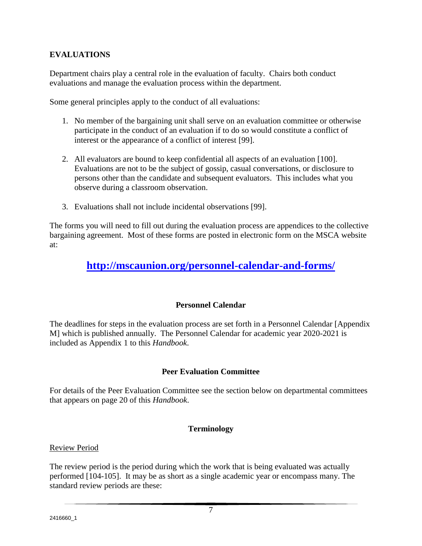## **EVALUATIONS**

Department chairs play a central role in the evaluation of faculty. Chairs both conduct evaluations and manage the evaluation process within the department.

Some general principles apply to the conduct of all evaluations:

- 1. No member of the bargaining unit shall serve on an evaluation committee or otherwise participate in the conduct of an evaluation if to do so would constitute a conflict of interest or the appearance of a conflict of interest [99].
- 2. All evaluators are bound to keep confidential all aspects of an evaluation [100]. Evaluations are not to be the subject of gossip, casual conversations, or disclosure to persons other than the candidate and subsequent evaluators. This includes what you observe during a classroom observation.
- 3. Evaluations shall not include incidental observations [99].

The forms you will need to fill out during the evaluation process are appendices to the collective bargaining agreement. Most of these forms are posted in electronic form on the MSCA website at:

# **<http://mscaunion.org/personnel-calendar-and-forms/>**

## **Personnel Calendar**

The deadlines for steps in the evaluation process are set forth in a Personnel Calendar [Appendix M] which is published annually. The Personnel Calendar for academic year 2020-2021 is included as Appendix 1 to this *Handbook*.

## **Peer Evaluation Committee**

For details of the Peer Evaluation Committee see the section below on departmental committees that appears on page 20 of this *Handbook*.

## **Terminology**

#### Review Period

The review period is the period during which the work that is being evaluated was actually performed [104-105]. It may be as short as a single academic year or encompass many. The standard review periods are these: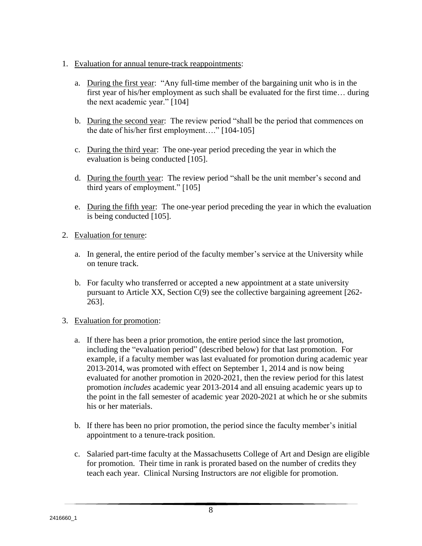- 1. Evaluation for annual tenure-track reappointments:
	- a. During the first year: "Any full-time member of the bargaining unit who is in the first year of his/her employment as such shall be evaluated for the first time… during the next academic year." [104]
	- b. During the second year: The review period "shall be the period that commences on the date of his/her first employment…." [104-105]
	- c. During the third year: The one-year period preceding the year in which the evaluation is being conducted [105].
	- d. During the fourth year: The review period "shall be the unit member's second and third years of employment." [105]
	- e. During the fifth year: The one-year period preceding the year in which the evaluation is being conducted [105].
- 2. Evaluation for tenure:
	- a. In general, the entire period of the faculty member's service at the University while on tenure track.
	- b. For faculty who transferred or accepted a new appointment at a state university pursuant to Article XX, Section C(9) see the collective bargaining agreement [262- 263].
- 3. Evaluation for promotion:
	- a. If there has been a prior promotion, the entire period since the last promotion, including the "evaluation period" (described below) for that last promotion. For example, if a faculty member was last evaluated for promotion during academic year 2013-2014, was promoted with effect on September 1, 2014 and is now being evaluated for another promotion in 2020-2021, then the review period for this latest promotion *includes* academic year 2013-2014 and all ensuing academic years up to the point in the fall semester of academic year 2020-2021 at which he or she submits his or her materials.
	- b. If there has been no prior promotion, the period since the faculty member's initial appointment to a tenure-track position.
	- c. Salaried part-time faculty at the Massachusetts College of Art and Design are eligible for promotion. Their time in rank is prorated based on the number of credits they teach each year. Clinical Nursing Instructors are *not* eligible for promotion.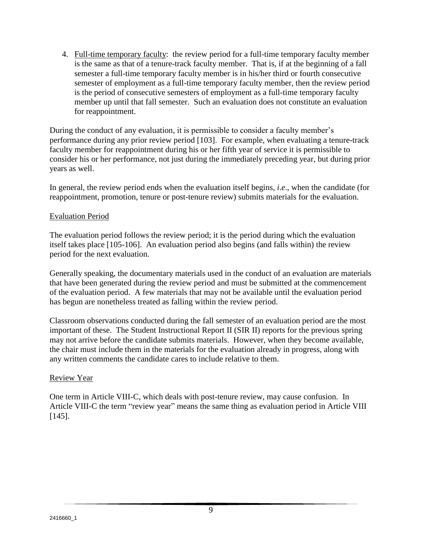4. Full-time temporary faculty: the review period for a full-time temporary faculty member is the same as that of a tenure-track faculty member. That is, if at the beginning of a fall semester a full-time temporary faculty member is in his/her third or fourth consecutive semester of employment as a full-time temporary faculty member, then the review period is the period of consecutive semesters of employment as a full-time temporary faculty member up until that fall semester. Such an evaluation does not constitute an evaluation for reappointment.

During the conduct of any evaluation, it is permissible to consider a faculty member's performance during any prior review period [103]. For example, when evaluating a tenure-track faculty member for reappointment during his or her fifth year of service it is permissible to consider his or her performance, not just during the immediately preceding year, but during prior years as well.

In general, the review period ends when the evaluation itself begins, *i*.*e*., when the candidate (for reappointment, promotion, tenure or post-tenure review) submits materials for the evaluation.

#### Evaluation Period

The evaluation period follows the review period; it is the period during which the evaluation itself takes place [105-106]. An evaluation period also begins (and falls within) the review period for the next evaluation.

Generally speaking, the documentary materials used in the conduct of an evaluation are materials that have been generated during the review period and must be submitted at the commencement of the evaluation period. A few materials that may not be available until the evaluation period has begun are nonetheless treated as falling within the review period.

Classroom observations conducted during the fall semester of an evaluation period are the most important of these. The Student Instructional Report II (SIR II) reports for the previous spring may not arrive before the candidate submits materials. However, when they become available, the chair must include them in the materials for the evaluation already in progress, along with any written comments the candidate cares to include relative to them.

#### Review Year

One term in Article VIII-C, which deals with post-tenure review, may cause confusion. In Article VIII-C the term "review year" means the same thing as evaluation period in Article VIII [145].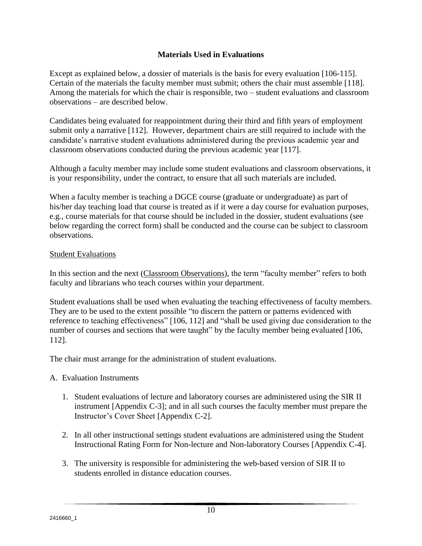## **Materials Used in Evaluations**

Except as explained below, a dossier of materials is the basis for every evaluation [106-115]. Certain of the materials the faculty member must submit; others the chair must assemble [118]. Among the materials for which the chair is responsible, two – student evaluations and classroom observations – are described below.

Candidates being evaluated for reappointment during their third and fifth years of employment submit only a narrative [112]. However, department chairs are still required to include with the candidate's narrative student evaluations administered during the previous academic year and classroom observations conducted during the previous academic year [117].

Although a faculty member may include some student evaluations and classroom observations, it is your responsibility, under the contract, to ensure that all such materials are included.

When a faculty member is teaching a DGCE course (graduate or undergraduate) as part of his/her day teaching load that course is treated as if it were a day course for evaluation purposes, e.g., course materials for that course should be included in the dossier, student evaluations (see below regarding the correct form) shall be conducted and the course can be subject to classroom observations.

#### Student Evaluations

In this section and the next (Classroom Observations), the term "faculty member" refers to both faculty and librarians who teach courses within your department.

Student evaluations shall be used when evaluating the teaching effectiveness of faculty members. They are to be used to the extent possible "to discern the pattern or patterns evidenced with reference to teaching effectiveness" [106, 112] and "shall be used giving due consideration to the number of courses and sections that were taught" by the faculty member being evaluated [106, 112].

The chair must arrange for the administration of student evaluations.

## A. Evaluation Instruments

- 1. Student evaluations of lecture and laboratory courses are administered using the SIR II instrument [Appendix C-3]; and in all such courses the faculty member must prepare the Instructor's Cover Sheet [Appendix C-2].
- 2. In all other instructional settings student evaluations are administered using the Student Instructional Rating Form for Non-lecture and Non-laboratory Courses [Appendix C-4].
- 3. The university is responsible for administering the web-based version of SIR II to students enrolled in distance education courses.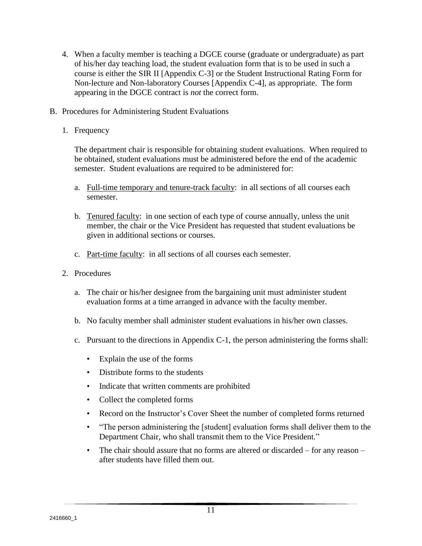- 4. When a faculty member is teaching a DGCE course (graduate or undergraduate) as part of his/her day teaching load, the student evaluation form that is to be used in such a course is either the SIR II [Appendix C-3] or the Student Instructional Rating Form for Non-lecture and Non-laboratory Courses [Appendix C-4], as appropriate. The form appearing in the DGCE contract is *not* the correct form.
- B. Procedures for Administering Student Evaluations
	- 1. Frequency

The department chair is responsible for obtaining student evaluations. When required to be obtained, student evaluations must be administered before the end of the academic semester. Student evaluations are required to be administered for:

- a. Full-time temporary and tenure-track faculty: in all sections of all courses each semester.
- b. Tenured faculty: in one section of each type of course annually, unless the unit member, the chair or the Vice President has requested that student evaluations be given in additional sections or courses.
- c. Part-time faculty: in all sections of all courses each semester.
- 2. Procedures
	- a. The chair or his/her designee from the bargaining unit must administer student evaluation forms at a time arranged in advance with the faculty member.
	- b. No faculty member shall administer student evaluations in his/her own classes.
	- c. Pursuant to the directions in Appendix C-1, the person administering the forms shall:
		- Explain the use of the forms
		- Distribute forms to the students
		- Indicate that written comments are prohibited
		- Collect the completed forms
		- Record on the Instructor's Cover Sheet the number of completed forms returned
		- "The person administering the [student] evaluation forms shall deliver them to the Department Chair, who shall transmit them to the Vice President."
		- The chair should assure that no forms are altered or discarded for any reason after students have filled them out.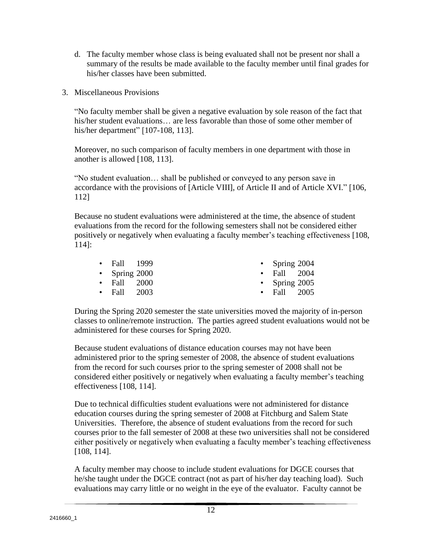- d. The faculty member whose class is being evaluated shall not be present nor shall a summary of the results be made available to the faculty member until final grades for his/her classes have been submitted.
- 3. Miscellaneous Provisions

"No faculty member shall be given a negative evaluation by sole reason of the fact that his/her student evaluations… are less favorable than those of some other member of his/her department" [107-108, 113].

Moreover, no such comparison of faculty members in one department with those in another is allowed [108, 113].

"No student evaluation… shall be published or conveyed to any person save in accordance with the provisions of [Article VIII], of Article II and of Article XVI." [106, 112]

Because no student evaluations were administered at the time, the absence of student evaluations from the record for the following semesters shall not be considered either positively or negatively when evaluating a faculty member's teaching effectiveness [108, 114]:

| $\bullet$ Fall 1999 |  | • Spring $2004$   |  |
|---------------------|--|-------------------|--|
| • Spring $2000$     |  | $\cdot$ Fall 2004 |  |
| $\cdot$ Fall 2000   |  | • Spring $2005$   |  |
| $\cdot$ Fall 2003   |  | $\cdot$ Fall 2005 |  |

During the Spring 2020 semester the state universities moved the majority of in-person classes to online/remote instruction. The parties agreed student evaluations would not be administered for these courses for Spring 2020.

Because student evaluations of distance education courses may not have been administered prior to the spring semester of 2008, the absence of student evaluations from the record for such courses prior to the spring semester of 2008 shall not be considered either positively or negatively when evaluating a faculty member's teaching effectiveness [108, 114].

Due to technical difficulties student evaluations were not administered for distance education courses during the spring semester of 2008 at Fitchburg and Salem State Universities. Therefore, the absence of student evaluations from the record for such courses prior to the fall semester of 2008 at these two universities shall not be considered either positively or negatively when evaluating a faculty member's teaching effectiveness [108, 114].

A faculty member may choose to include student evaluations for DGCE courses that he/she taught under the DGCE contract (not as part of his/her day teaching load). Such evaluations may carry little or no weight in the eye of the evaluator. Faculty cannot be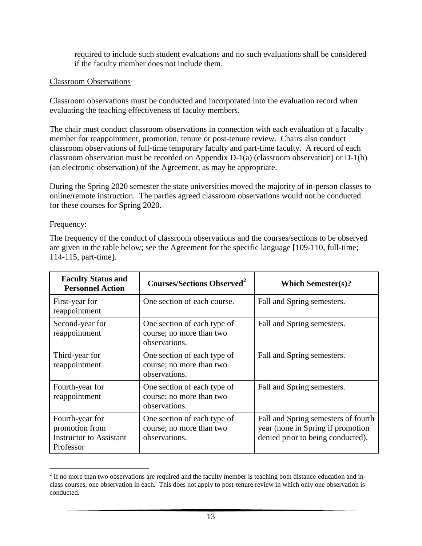required to include such student evaluations and no such evaluations shall be considered if the faculty member does not include them.

#### Classroom Observations

Classroom observations must be conducted and incorporated into the evaluation record when evaluating the teaching effectiveness of faculty members.

The chair must conduct classroom observations in connection with each evaluation of a faculty member for reappointment, promotion, tenure or post-tenure review. Chairs also conduct classroom observations of full-time temporary faculty and part-time faculty. A record of each classroom observation must be recorded on Appendix D-1(a) (classroom observation) or D-1(b) (an electronic observation) of the Agreement, as may be appropriate.

During the Spring 2020 semester the state universities moved the majority of in-person classes to online/remote instruction. The parties agreed classroom observations would not be conducted for these courses for Spring 2020.

Frequency:

The frequency of the conduct of classroom observations and the courses/sections to be observed are given in the table below; see the Agreement for the specific language [109-110, full-time; 114-115, part-time].

| <b>Faculty Status and</b><br><b>Personnel Action</b>                             | <b>Courses/Sections Observed</b> <sup>2</sup>                            | <b>Which Semester(s)?</b>                                                                                     |
|----------------------------------------------------------------------------------|--------------------------------------------------------------------------|---------------------------------------------------------------------------------------------------------------|
| First-year for<br>reappointment                                                  | One section of each course.                                              | Fall and Spring semesters.                                                                                    |
| Second-year for<br>reappointment                                                 | One section of each type of<br>course; no more than two<br>observations. | Fall and Spring semesters.                                                                                    |
| Third-year for<br>reappointment                                                  | One section of each type of<br>course; no more than two<br>observations. | Fall and Spring semesters.                                                                                    |
| Fourth-year for<br>reappointment                                                 | One section of each type of<br>course; no more than two<br>observations. | Fall and Spring semesters.                                                                                    |
| Fourth-year for<br>promotion from<br><b>Instructor to Assistant</b><br>Professor | One section of each type of<br>course; no more than two<br>observations. | Fall and Spring semesters of fourth<br>year (none in Spring if promotion<br>denied prior to being conducted). |

 $\overline{a}$  $2<sup>2</sup>$  If no more than two observations are required and the faculty member is teaching both distance education and inclass courses, one observation in each. This does not apply to post-tenure review in which only one observation is conducted.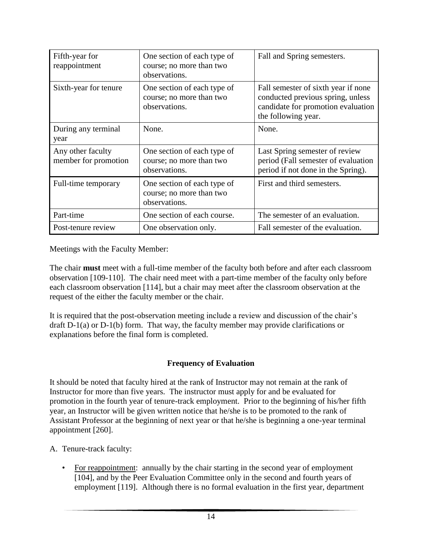| Fifth-year for<br>reappointment           | One section of each type of<br>course; no more than two<br>observations. | Fall and Spring semesters.                                                                                                            |
|-------------------------------------------|--------------------------------------------------------------------------|---------------------------------------------------------------------------------------------------------------------------------------|
| Sixth-year for tenure                     | One section of each type of<br>course; no more than two<br>observations. | Fall semester of sixth year if none<br>conducted previous spring, unless<br>candidate for promotion evaluation<br>the following year. |
| During any terminal<br>year               | None.                                                                    | None.                                                                                                                                 |
| Any other faculty<br>member for promotion | One section of each type of<br>course; no more than two<br>observations. | Last Spring semester of review<br>period (Fall semester of evaluation<br>period if not done in the Spring).                           |
| Full-time temporary                       | One section of each type of<br>course; no more than two<br>observations. | First and third semesters.                                                                                                            |
| Part-time                                 | One section of each course.                                              | The semester of an evaluation.                                                                                                        |
| Post-tenure review                        | One observation only.                                                    | Fall semester of the evaluation.                                                                                                      |

Meetings with the Faculty Member:

The chair **must** meet with a full-time member of the faculty both before and after each classroom observation [109-110]. The chair need meet with a part-time member of the faculty only before each classroom observation [114], but a chair may meet after the classroom observation at the request of the either the faculty member or the chair.

It is required that the post-observation meeting include a review and discussion of the chair's draft D-1(a) or D-1(b) form. That way, the faculty member may provide clarifications or explanations before the final form is completed.

## **Frequency of Evaluation**

It should be noted that faculty hired at the rank of Instructor may not remain at the rank of Instructor for more than five years. The instructor must apply for and be evaluated for promotion in the fourth year of tenure-track employment. Prior to the beginning of his/her fifth year, an Instructor will be given written notice that he/she is to be promoted to the rank of Assistant Professor at the beginning of next year or that he/she is beginning a one-year terminal appointment [260].

A. Tenure-track faculty:

• For reappointment: annually by the chair starting in the second year of employment [104], and by the Peer Evaluation Committee only in the second and fourth years of employment [119]. Although there is no formal evaluation in the first year, department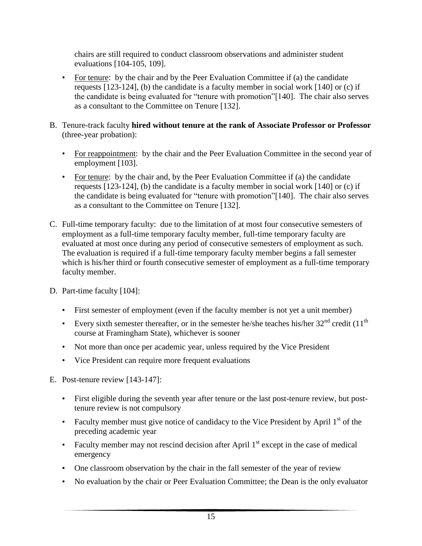chairs are still required to conduct classroom observations and administer student evaluations [104-105, 109].

- For tenure: by the chair and by the Peer Evaluation Committee if (a) the candidate requests [123-124], (b) the candidate is a faculty member in social work [140] or (c) if the candidate is being evaluated for "tenure with promotion"[140]. The chair also serves as a consultant to the Committee on Tenure [132].
- B. Tenure-track faculty **hired without tenure at the rank of Associate Professor or Professor** (three-year probation):
	- For reappointment: by the chair and the Peer Evaluation Committee in the second year of employment [103].
	- For tenure: by the chair and, by the Peer Evaluation Committee if (a) the candidate requests [123-124], (b) the candidate is a faculty member in social work [140] or (c) if the candidate is being evaluated for "tenure with promotion"[140]. The chair also serves as a consultant to the Committee on Tenure [132].
- C. Full-time temporary faculty: due to the limitation of at most four consecutive semesters of employment as a full-time temporary faculty member, full-time temporary faculty are evaluated at most once during any period of consecutive semesters of employment as such. The evaluation is required if a full-time temporary faculty member begins a fall semester which is his/her third or fourth consecutive semester of employment as a full-time temporary faculty member.
- D. Part-time faculty [104]:
	- First semester of employment (even if the faculty member is not yet a unit member)
	- Every sixth semester thereafter, or in the semester he/she teaches his/her  $32<sup>nd</sup>$  credit (11<sup>th</sup>) course at Framingham State), whichever is sooner
	- Not more than once per academic year, unless required by the Vice President
	- Vice President can require more frequent evaluations
- E. Post-tenure review [143-147]:
	- First eligible during the seventh year after tenure or the last post-tenure review, but posttenure review is not compulsory
	- Faculty member must give notice of candidacy to the Vice President by April  $1<sup>st</sup>$  of the preceding academic year
	- Faculty member may not rescind decision after April  $1<sup>st</sup>$  except in the case of medical emergency
	- One classroom observation by the chair in the fall semester of the year of review
	- No evaluation by the chair or Peer Evaluation Committee; the Dean is the only evaluator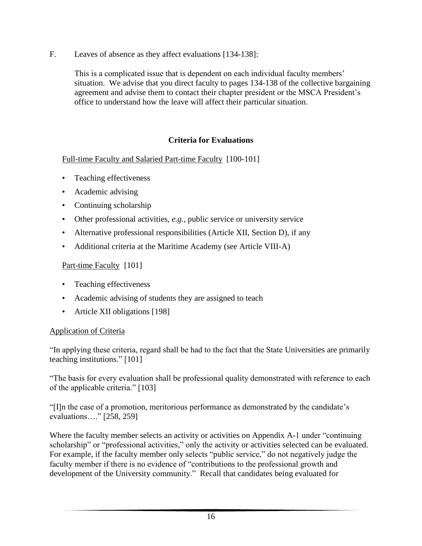F. Leaves of absence as they affect evaluations [134-138]:

This is a complicated issue that is dependent on each individual faculty members' situation. We advise that you direct faculty to pages 134-138 of the collective bargaining agreement and advise them to contact their chapter president or the MSCA President's office to understand how the leave will affect their particular situation.

## **Criteria for Evaluations**

Full-time Faculty and Salaried Part-time Faculty [100-101]

- Teaching effectiveness
- Academic advising
- Continuing scholarship
- Other professional activities, *e.g.*, public service or university service
- Alternative professional responsibilities (Article XII, Section D), if any
- Additional criteria at the Maritime Academy (see Article VIII-A)

#### Part-time Faculty [101]

- Teaching effectiveness
- Academic advising of students they are assigned to teach
- Article XII obligations [198]

#### Application of Criteria

"In applying these criteria, regard shall be had to the fact that the State Universities are primarily teaching institutions." [101]

"The basis for every evaluation shall be professional quality demonstrated with reference to each of the applicable criteria." [103]

"[I]n the case of a promotion, meritorious performance as demonstrated by the candidate's evaluations…." [258, 259]

Where the faculty member selects an activity or activities on Appendix A-1 under "continuing" scholarship" or "professional activities," only the activity or activities selected can be evaluated. For example, if the faculty member only selects "public service," do not negatively judge the faculty member if there is no evidence of "contributions to the professional growth and development of the University community." Recall that candidates being evaluated for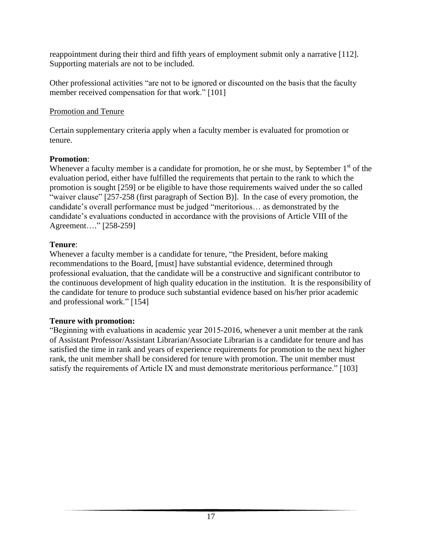reappointment during their third and fifth years of employment submit only a narrative [112]. Supporting materials are not to be included.

Other professional activities "are not to be ignored or discounted on the basis that the faculty member received compensation for that work." [101]

## Promotion and Tenure

Certain supplementary criteria apply when a faculty member is evaluated for promotion or tenure.

## **Promotion**:

Whenever a faculty member is a candidate for promotion, he or she must, by September  $1<sup>st</sup>$  of the evaluation period, either have fulfilled the requirements that pertain to the rank to which the promotion is sought [259] or be eligible to have those requirements waived under the so called "waiver clause" [257-258 (first paragraph of Section B)]. In the case of every promotion, the candidate's overall performance must be judged "meritorious… as demonstrated by the candidate's evaluations conducted in accordance with the provisions of Article VIII of the Agreement…." [258-259]

## **Tenure**:

Whenever a faculty member is a candidate for tenure, "the President, before making recommendations to the Board, [must] have substantial evidence, determined through professional evaluation, that the candidate will be a constructive and significant contributor to the continuous development of high quality education in the institution. It is the responsibility of the candidate for tenure to produce such substantial evidence based on his/her prior academic and professional work." [154]

## **Tenure with promotion:**

"Beginning with evaluations in academic year 2015-2016, whenever a unit member at the rank of Assistant Professor/Assistant Librarian/Associate Librarian is a candidate for tenure and has satisfied the time in rank and years of experience requirements for promotion to the next higher rank, the unit member shall be considered for tenure with promotion. The unit member must satisfy the requirements of Article IX and must demonstrate meritorious performance." [103]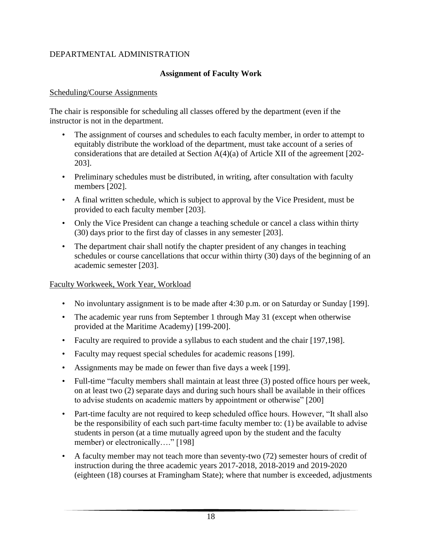## DEPARTMENTAL ADMINISTRATION

## **Assignment of Faculty Work**

#### Scheduling/Course Assignments

The chair is responsible for scheduling all classes offered by the department (even if the instructor is not in the department.

- The assignment of courses and schedules to each faculty member, in order to attempt to equitably distribute the workload of the department, must take account of a series of considerations that are detailed at Section A(4)(a) of Article XII of the agreement [202- 203].
- Preliminary schedules must be distributed, in writing, after consultation with faculty members [202].
- A final written schedule, which is subject to approval by the Vice President, must be provided to each faculty member [203].
- Only the Vice President can change a teaching schedule or cancel a class within thirty (30) days prior to the first day of classes in any semester [203].
- The department chair shall notify the chapter president of any changes in teaching schedules or course cancellations that occur within thirty (30) days of the beginning of an academic semester [203].

## Faculty Workweek, Work Year, Workload

- No involuntary assignment is to be made after 4:30 p.m. or on Saturday or Sunday [199].
- The academic year runs from September 1 through May 31 (except when otherwise provided at the Maritime Academy) [199-200].
- Faculty are required to provide a syllabus to each student and the chair [197,198].
- Faculty may request special schedules for academic reasons [199].
- Assignments may be made on fewer than five days a week [199].
- Full-time "faculty members shall maintain at least three (3) posted office hours per week, on at least two (2) separate days and during such hours shall be available in their offices to advise students on academic matters by appointment or otherwise" [200]
- Part-time faculty are not required to keep scheduled office hours. However, "It shall also be the responsibility of each such part-time faculty member to: (1) be available to advise students in person (at a time mutually agreed upon by the student and the faculty member) or electronically...." [198]
- A faculty member may not teach more than seventy-two (72) semester hours of credit of instruction during the three academic years 2017-2018, 2018-2019 and 2019-2020 (eighteen (18) courses at Framingham State); where that number is exceeded, adjustments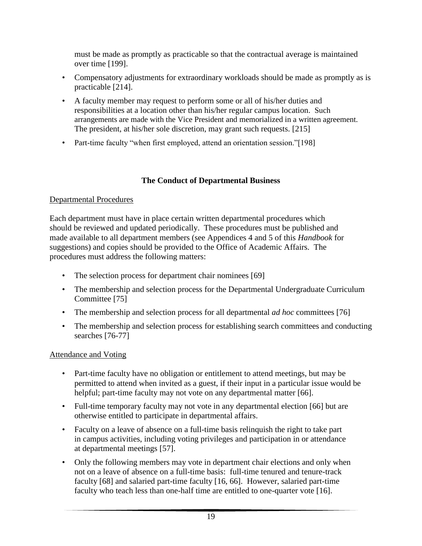must be made as promptly as practicable so that the contractual average is maintained over time [199].

- Compensatory adjustments for extraordinary workloads should be made as promptly as is practicable [214].
- A faculty member may request to perform some or all of his/her duties and responsibilities at a location other than his/her regular campus location. Such arrangements are made with the Vice President and memorialized in a written agreement. The president, at his/her sole discretion, may grant such requests. [215]
- Part-time faculty "when first employed, attend an orientation session."[198]

## **The Conduct of Departmental Business**

## Departmental Procedures

Each department must have in place certain written departmental procedures which should be reviewed and updated periodically. These procedures must be published and made available to all department members (see Appendices 4 and 5 of this *Handbook* for suggestions) and copies should be provided to the Office of Academic Affairs. The procedures must address the following matters:

- The selection process for department chair nominees [69]
- The membership and selection process for the Departmental Undergraduate Curriculum Committee [75]
- The membership and selection process for all departmental *ad hoc* committees [76]
- The membership and selection process for establishing search committees and conducting searches [76-77]

## Attendance and Voting

- Part-time faculty have no obligation or entitlement to attend meetings, but may be permitted to attend when invited as a guest, if their input in a particular issue would be helpful; part-time faculty may not vote on any departmental matter [66].
- Full-time temporary faculty may not vote in any departmental election [66] but are otherwise entitled to participate in departmental affairs.
- Faculty on a leave of absence on a full-time basis relinquish the right to take part in campus activities, including voting privileges and participation in or attendance at departmental meetings [57].
- Only the following members may vote in department chair elections and only when not on a leave of absence on a full-time basis: full-time tenured and tenure-track faculty [68] and salaried part-time faculty [16, 66]. However, salaried part-time faculty who teach less than one-half time are entitled to one-quarter vote [16].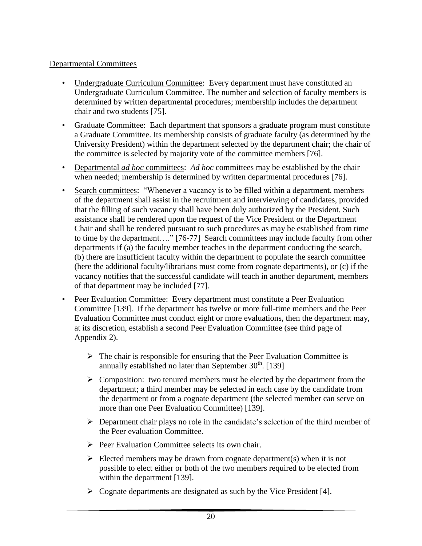## Departmental Committees

- Undergraduate Curriculum Committee: Every department must have constituted an Undergraduate Curriculum Committee. The number and selection of faculty members is determined by written departmental procedures; membership includes the department chair and two students [75].
- Graduate Committee: Each department that sponsors a graduate program must constitute a Graduate Committee. Its membership consists of graduate faculty (as determined by the University President) within the department selected by the department chair; the chair of the committee is selected by majority vote of the committee members [76].
- Departmental *ad hoc* committees: *Ad hoc* committees may be established by the chair when needed; membership is determined by written departmental procedures [76].
- Search committees: "Whenever a vacancy is to be filled within a department, members of the department shall assist in the recruitment and interviewing of candidates, provided that the filling of such vacancy shall have been duly authorized by the President. Such assistance shall be rendered upon the request of the Vice President or the Department Chair and shall be rendered pursuant to such procedures as may be established from time to time by the department…." [76-77] Search committees may include faculty from other departments if (a) the faculty member teaches in the department conducting the search, (b) there are insufficient faculty within the department to populate the search committee (here the additional faculty/librarians must come from cognate departments), or (c) if the vacancy notifies that the successful candidate will teach in another department, members of that department may be included [77].
- Peer Evaluation Committee: Every department must constitute a Peer Evaluation Committee [139]. If the department has twelve or more full-time members and the Peer Evaluation Committee must conduct eight or more evaluations, then the department may, at its discretion, establish a second Peer Evaluation Committee (see third page of Appendix 2).
	- $\triangleright$  The chair is responsible for ensuring that the Peer Evaluation Committee is annually established no later than September  $30<sup>th</sup>$ . [139]
	- $\triangleright$  Composition: two tenured members must be elected by the department from the department; a third member may be selected in each case by the candidate from the department or from a cognate department (the selected member can serve on more than one Peer Evaluation Committee) [139].
	- $\triangleright$  Department chair plays no role in the candidate's selection of the third member of the Peer evaluation Committee.
	- $\triangleright$  Peer Evaluation Committee selects its own chair.
	- $\triangleright$  Elected members may be drawn from cognate department(s) when it is not possible to elect either or both of the two members required to be elected from within the department [139].
	- $\triangleright$  Cognate departments are designated as such by the Vice President [4].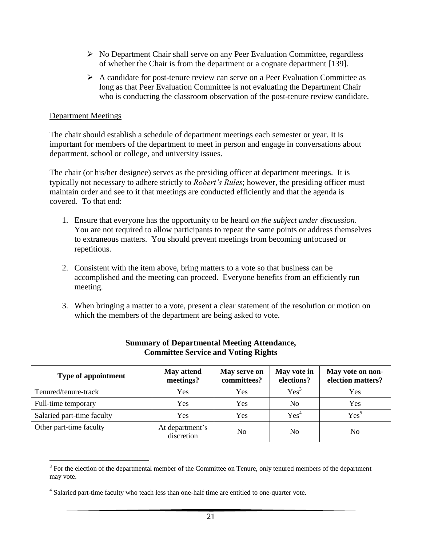- $\triangleright$  No Department Chair shall serve on any Peer Evaluation Committee, regardless of whether the Chair is from the department or a cognate department [139].
- A candidate for post-tenure review can serve on a Peer Evaluation Committee as long as that Peer Evaluation Committee is not evaluating the Department Chair who is conducting the classroom observation of the post-tenure review candidate.

#### Department Meetings

The chair should establish a schedule of department meetings each semester or year. It is important for members of the department to meet in person and engage in conversations about department, school or college, and university issues.

The chair (or his/her designee) serves as the presiding officer at department meetings. It is typically not necessary to adhere strictly to *Robert's Rules*; however, the presiding officer must maintain order and see to it that meetings are conducted efficiently and that the agenda is covered. To that end:

- 1. Ensure that everyone has the opportunity to be heard *on the subject under discussion*. You are not required to allow participants to repeat the same points or address themselves to extraneous matters. You should prevent meetings from becoming unfocused or repetitious.
- 2. Consistent with the item above, bring matters to a vote so that business can be accomplished and the meeting can proceed. Everyone benefits from an efficiently run meeting.
- 3. When bringing a matter to a vote, present a clear statement of the resolution or motion on which the members of the department are being asked to vote.

| <b>Type of appointment</b> | <b>May attend</b><br>meetings? | May serve on<br>committees? | May vote in<br>elections? | May vote on non-<br>election matters? |
|----------------------------|--------------------------------|-----------------------------|---------------------------|---------------------------------------|
| Tenured/tenure-track       | Yes                            | Yes                         | Yes <sup>3</sup>          | Yes                                   |
| Full-time temporary        | Yes                            | Yes                         | No                        | Yes                                   |
| Salaried part-time faculty | Yes                            | Yes                         | Yes <sup>4</sup>          | Yes <sup>5</sup>                      |
| Other part-time faculty    | At department's<br>discretion  | N <sub>0</sub>              | N <sub>0</sub>            | No                                    |

#### **Summary of Departmental Meeting Attendance, Committee Service and Voting Rights**

<sup>&</sup>lt;sup>3</sup> For the election of the departmental member of the Committee on Tenure, only tenured members of the department may vote.

<sup>&</sup>lt;sup>4</sup> Salaried part-time faculty who teach less than one-half time are entitled to one-quarter vote.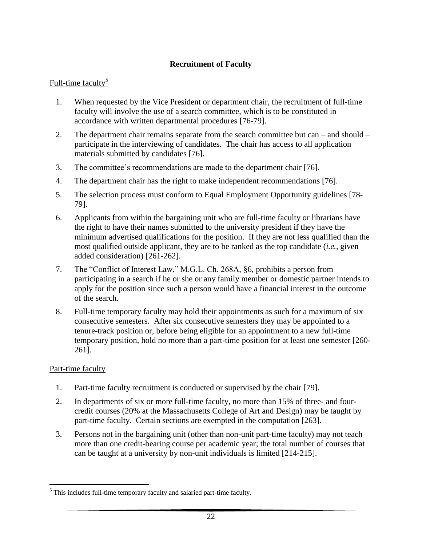## **Recruitment of Faculty**

## Full-time faculty<sup>5</sup>

- 1. When requested by the Vice President or department chair, the recruitment of full-time faculty will involve the use of a search committee, which is to be constituted in accordance with written departmental procedures [76-79].
- 2. The department chair remains separate from the search committee but can and should participate in the interviewing of candidates. The chair has access to all application materials submitted by candidates [76].
- 3. The committee's recommendations are made to the department chair [76].
- 4. The department chair has the right to make independent recommendations [76].
- 5. The selection process must conform to Equal Employment Opportunity guidelines [78- 79].
- 6. Applicants from within the bargaining unit who are full-time faculty or librarians have the right to have their names submitted to the university president if they have the minimum advertised qualifications for the position. If they are not less qualified than the most qualified outside applicant, they are to be ranked as the top candidate (*i.e.*, given added consideration) [261-262].
- 7. The "Conflict of Interest Law," M.G.L. Ch. 268A, §6, prohibits a person from participating in a search if he or she or any family member or domestic partner intends to apply for the position since such a person would have a financial interest in the outcome of the search.
- 8. Full-time temporary faculty may hold their appointments as such for a maximum of six consecutive semesters. After six consecutive semesters they may be appointed to a tenure-track position or, before being eligible for an appointment to a new full-time temporary position, hold no more than a part-time position for at least one semester [260- 261].

#### Part-time faculty

 $\overline{a}$ 

- 1. Part-time faculty recruitment is conducted or supervised by the chair [79].
- 2. In departments of six or more full-time faculty, no more than 15% of three- and fourcredit courses (20% at the Massachusetts College of Art and Design) may be taught by part-time faculty. Certain sections are exempted in the computation [263].
- 3. Persons not in the bargaining unit (other than non-unit part-time faculty) may not teach more than one credit-bearing course per academic year; the total number of courses that can be taught at a university by non-unit individuals is limited [214-215].

 $<sup>5</sup>$  This includes full-time temporary faculty and salaried part-time faculty.</sup>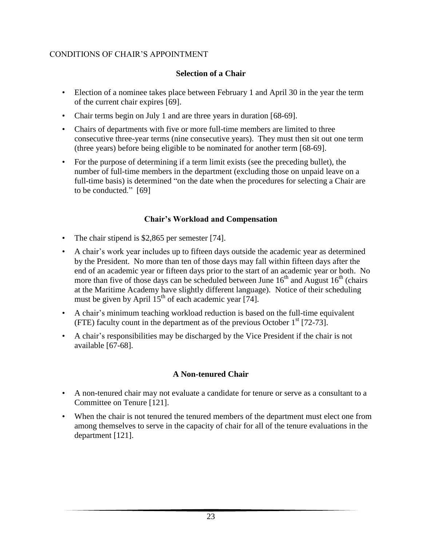## CONDITIONS OF CHAIR'S APPOINTMENT

## **Selection of a Chair**

- Election of a nominee takes place between February 1 and April 30 in the year the term of the current chair expires [69].
- Chair terms begin on July 1 and are three years in duration [68-69].
- Chairs of departments with five or more full-time members are limited to three consecutive three-year terms (nine consecutive years). They must then sit out one term (three years) before being eligible to be nominated for another term [68-69].
- For the purpose of determining if a term limit exists (see the preceding bullet), the number of full-time members in the department (excluding those on unpaid leave on a full-time basis) is determined "on the date when the procedures for selecting a Chair are to be conducted." [69]

## **Chair's Workload and Compensation**

- The chair stipend is \$2,865 per semester [74].
- A chair's work year includes up to fifteen days outside the academic year as determined by the President. No more than ten of those days may fall within fifteen days after the end of an academic year or fifteen days prior to the start of an academic year or both. No more than five of those days can be scheduled between June  $16<sup>th</sup>$  and August  $16<sup>th</sup>$  (chairs) at the Maritime Academy have slightly different language). Notice of their scheduling must be given by April  $15<sup>th</sup>$  of each academic year [74].
- A chair's minimum teaching workload reduction is based on the full-time equivalent (FTE) faculty count in the department as of the previous October  $1<sup>st</sup>$  [72-73].
- A chair's responsibilities may be discharged by the Vice President if the chair is not available [67-68].

## **A Non-tenured Chair**

- A non-tenured chair may not evaluate a candidate for tenure or serve as a consultant to a Committee on Tenure [121].
- When the chair is not tenured the tenured members of the department must elect one from among themselves to serve in the capacity of chair for all of the tenure evaluations in the department [121].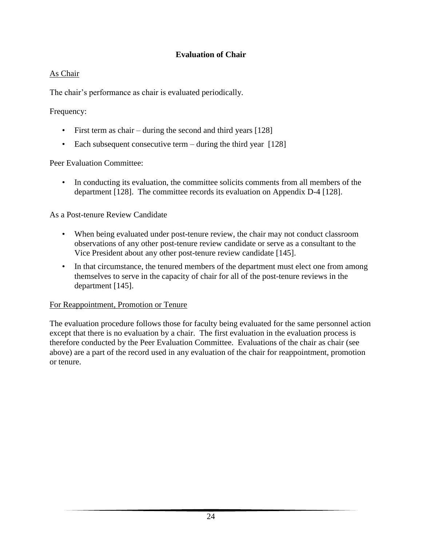## **Evaluation of Chair**

## As Chair

The chair's performance as chair is evaluated periodically.

Frequency:

- First term as chair during the second and third years [128]
- Each subsequent consecutive term during the third year [128]

Peer Evaluation Committee:

• In conducting its evaluation, the committee solicits comments from all members of the department [128]. The committee records its evaluation on Appendix D-4 [128].

As a Post-tenure Review Candidate

- When being evaluated under post-tenure review, the chair may not conduct classroom observations of any other post-tenure review candidate or serve as a consultant to the Vice President about any other post-tenure review candidate [145].
- In that circumstance, the tenured members of the department must elect one from among themselves to serve in the capacity of chair for all of the post-tenure reviews in the department [145].

## For Reappointment, Promotion or Tenure

The evaluation procedure follows those for faculty being evaluated for the same personnel action except that there is no evaluation by a chair. The first evaluation in the evaluation process is therefore conducted by the Peer Evaluation Committee. Evaluations of the chair as chair (see above) are a part of the record used in any evaluation of the chair for reappointment, promotion or tenure.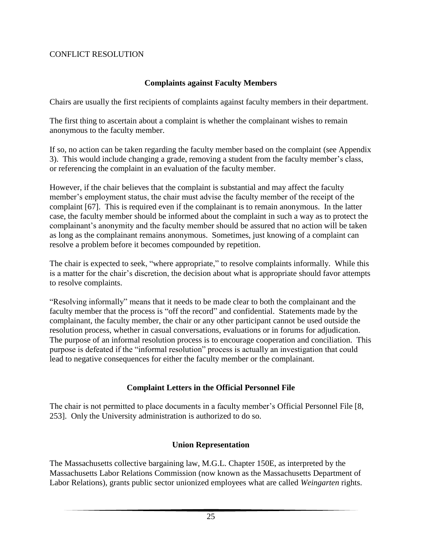#### CONFLICT RESOLUTION

#### **Complaints against Faculty Members**

Chairs are usually the first recipients of complaints against faculty members in their department.

The first thing to ascertain about a complaint is whether the complainant wishes to remain anonymous to the faculty member.

If so, no action can be taken regarding the faculty member based on the complaint (see Appendix 3). This would include changing a grade, removing a student from the faculty member's class, or referencing the complaint in an evaluation of the faculty member.

However, if the chair believes that the complaint is substantial and may affect the faculty member's employment status, the chair must advise the faculty member of the receipt of the complaint [67]. This is required even if the complainant is to remain anonymous. In the latter case, the faculty member should be informed about the complaint in such a way as to protect the complainant's anonymity and the faculty member should be assured that no action will be taken as long as the complainant remains anonymous. Sometimes, just knowing of a complaint can resolve a problem before it becomes compounded by repetition.

The chair is expected to seek, "where appropriate," to resolve complaints informally. While this is a matter for the chair's discretion, the decision about what is appropriate should favor attempts to resolve complaints.

"Resolving informally" means that it needs to be made clear to both the complainant and the faculty member that the process is "off the record" and confidential. Statements made by the complainant, the faculty member, the chair or any other participant cannot be used outside the resolution process, whether in casual conversations, evaluations or in forums for adjudication. The purpose of an informal resolution process is to encourage cooperation and conciliation. This purpose is defeated if the "informal resolution" process is actually an investigation that could lead to negative consequences for either the faculty member or the complainant.

## **Complaint Letters in the Official Personnel File**

The chair is not permitted to place documents in a faculty member's Official Personnel File [8, 253]. Only the University administration is authorized to do so.

## **Union Representation**

The Massachusetts collective bargaining law, M.G.L. Chapter 150E, as interpreted by the Massachusetts Labor Relations Commission (now known as the Massachusetts Department of Labor Relations), grants public sector unionized employees what are called *Weingarten* rights.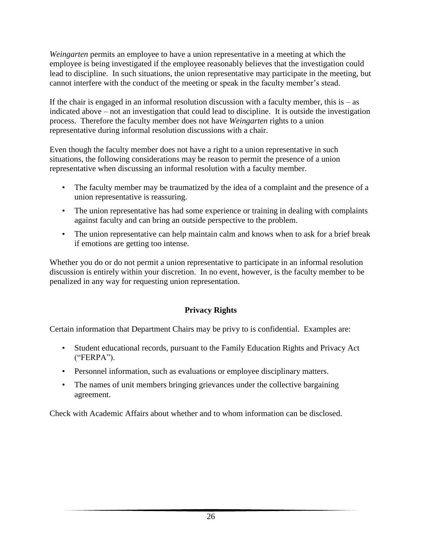*Weingarten* permits an employee to have a union representative in a meeting at which the employee is being investigated if the employee reasonably believes that the investigation could lead to discipline. In such situations, the union representative may participate in the meeting, but cannot interfere with the conduct of the meeting or speak in the faculty member's stead.

If the chair is engaged in an informal resolution discussion with a faculty member, this is  $-\text{ as }$ indicated above – not an investigation that could lead to discipline. It is outside the investigation process. Therefore the faculty member does not have *Weingarten* rights to a union representative during informal resolution discussions with a chair.

Even though the faculty member does not have a right to a union representative in such situations, the following considerations may be reason to permit the presence of a union representative when discussing an informal resolution with a faculty member.

- The faculty member may be traumatized by the idea of a complaint and the presence of a union representative is reassuring.
- The union representative has had some experience or training in dealing with complaints against faculty and can bring an outside perspective to the problem.
- The union representative can help maintain calm and knows when to ask for a brief break if emotions are getting too intense.

Whether you do or do not permit a union representative to participate in an informal resolution discussion is entirely within your discretion. In no event, however, is the faculty member to be penalized in any way for requesting union representation.

## **Privacy Rights**

Certain information that Department Chairs may be privy to is confidential. Examples are:

- Student educational records, pursuant to the Family Education Rights and Privacy Act ("FERPA").
- Personnel information, such as evaluations or employee disciplinary matters.
- The names of unit members bringing grievances under the collective bargaining agreement.

Check with Academic Affairs about whether and to whom information can be disclosed.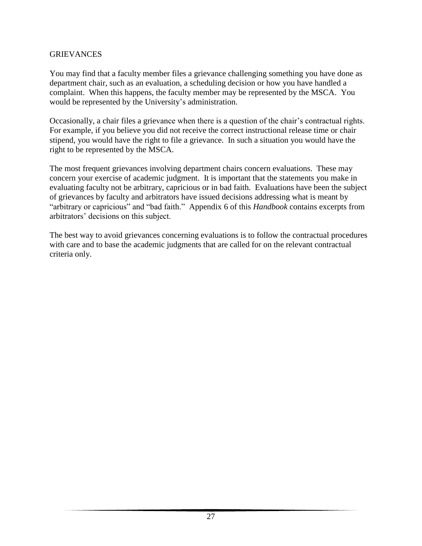#### GRIEVANCES

You may find that a faculty member files a grievance challenging something you have done as department chair, such as an evaluation, a scheduling decision or how you have handled a complaint. When this happens, the faculty member may be represented by the MSCA. You would be represented by the University's administration.

Occasionally, a chair files a grievance when there is a question of the chair's contractual rights. For example, if you believe you did not receive the correct instructional release time or chair stipend, you would have the right to file a grievance. In such a situation you would have the right to be represented by the MSCA.

The most frequent grievances involving department chairs concern evaluations. These may concern your exercise of academic judgment. It is important that the statements you make in evaluating faculty not be arbitrary, capricious or in bad faith. Evaluations have been the subject of grievances by faculty and arbitrators have issued decisions addressing what is meant by "arbitrary or capricious" and "bad faith." Appendix 6 of this *Handbook* contains excerpts from arbitrators' decisions on this subject.

The best way to avoid grievances concerning evaluations is to follow the contractual procedures with care and to base the academic judgments that are called for on the relevant contractual criteria only.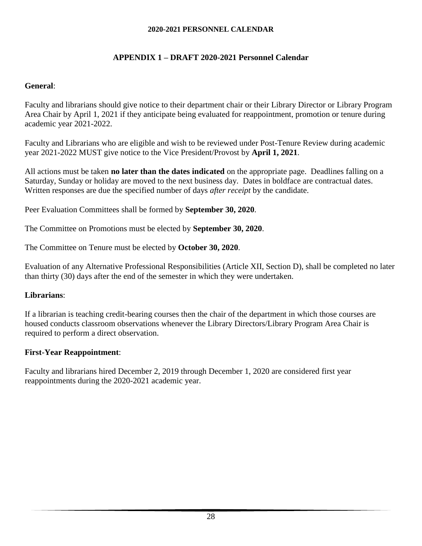## **APPENDIX 1 – DRAFT 2020-2021 Personnel Calendar**

#### **General**:

Faculty and librarians should give notice to their department chair or their Library Director or Library Program Area Chair by April 1, 2021 if they anticipate being evaluated for reappointment, promotion or tenure during academic year 2021-2022.

Faculty and Librarians who are eligible and wish to be reviewed under Post-Tenure Review during academic year 2021-2022 MUST give notice to the Vice President/Provost by **April 1, 2021**.

All actions must be taken **no later than the dates indicated** on the appropriate page. Deadlines falling on a Saturday, Sunday or holiday are moved to the next business day. Dates in boldface are contractual dates. Written responses are due the specified number of days *after receipt* by the candidate.

Peer Evaluation Committees shall be formed by **September 30, 2020**.

The Committee on Promotions must be elected by **September 30, 2020**.

The Committee on Tenure must be elected by **October 30, 2020**.

Evaluation of any Alternative Professional Responsibilities (Article XII, Section D), shall be completed no later than thirty (30) days after the end of the semester in which they were undertaken.

## **Librarians**:

If a librarian is teaching credit-bearing courses then the chair of the department in which those courses are housed conducts classroom observations whenever the Library Directors/Library Program Area Chair is required to perform a direct observation.

## **First-Year Reappointment**:

Faculty and librarians hired December 2, 2019 through December 1, 2020 are considered first year reappointments during the 2020-2021 academic year.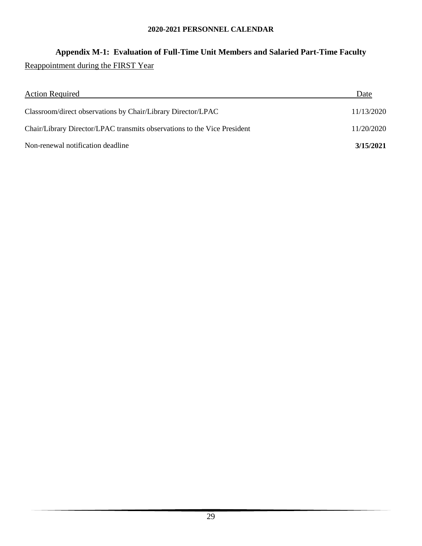# **Appendix M-1: Evaluation of Full-Time Unit Members and Salaried Part-Time Faculty** Reappointment during the FIRST Year

| <b>Action Required</b>                                                   | Date       |
|--------------------------------------------------------------------------|------------|
| Classroom/direct observations by Chair/Library Director/LPAC             | 11/13/2020 |
| Chair/Library Director/LPAC transmits observations to the Vice President | 11/20/2020 |
| Non-renewal notification deadline                                        | 3/15/2021  |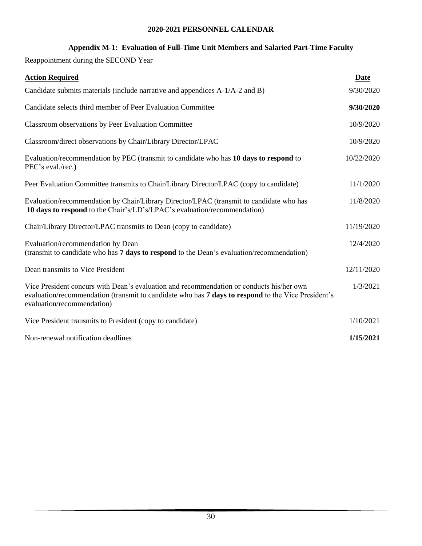## **Appendix M-1: Evaluation of Full-Time Unit Members and Salaried Part-Time Faculty**

Reappointment during the SECOND Year

| <b>Action Required</b>                                                                                                                                                                                                       | Date       |
|------------------------------------------------------------------------------------------------------------------------------------------------------------------------------------------------------------------------------|------------|
| Candidate submits materials (include narrative and appendices A-1/A-2 and B)                                                                                                                                                 | 9/30/2020  |
| Candidate selects third member of Peer Evaluation Committee                                                                                                                                                                  | 9/30/2020  |
| Classroom observations by Peer Evaluation Committee                                                                                                                                                                          | 10/9/2020  |
| Classroom/direct observations by Chair/Library Director/LPAC                                                                                                                                                                 | 10/9/2020  |
| Evaluation/recommendation by PEC (transmit to candidate who has 10 days to respond to<br>PEC's eval./rec.)                                                                                                                   | 10/22/2020 |
| Peer Evaluation Committee transmits to Chair/Library Director/LPAC (copy to candidate)                                                                                                                                       | 11/1/2020  |
| Evaluation/recommendation by Chair/Library Director/LPAC (transmit to candidate who has<br>10 days to respond to the Chair's/LD's/LPAC's evaluation/recommendation)                                                          | 11/8/2020  |
| Chair/Library Director/LPAC transmits to Dean (copy to candidate)                                                                                                                                                            | 11/19/2020 |
| Evaluation/recommendation by Dean<br>(transmit to candidate who has 7 days to respond to the Dean's evaluation/recommendation)                                                                                               | 12/4/2020  |
| Dean transmits to Vice President                                                                                                                                                                                             | 12/11/2020 |
| Vice President concurs with Dean's evaluation and recommendation or conducts his/her own<br>evaluation/recommendation (transmit to candidate who has 7 days to respond to the Vice President's<br>evaluation/recommendation) | 1/3/2021   |
| Vice President transmits to President (copy to candidate)                                                                                                                                                                    | 1/10/2021  |
| Non-renewal notification deadlines                                                                                                                                                                                           | 1/15/2021  |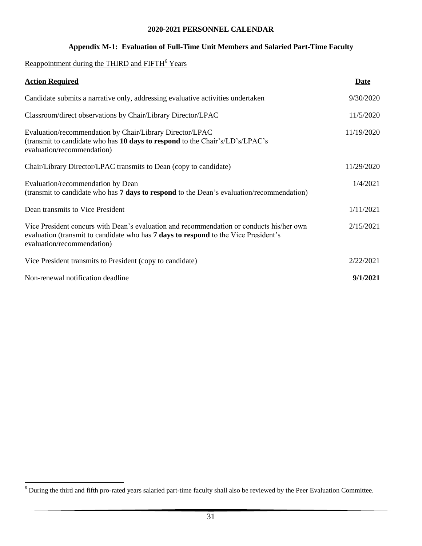#### **Appendix M-1: Evaluation of Full-Time Unit Members and Salaried Part-Time Faculty**

## Reappointment during the THIRD and FIFTH<sup>6</sup> Years

 $\overline{a}$ 

| <b>Action Required</b>                                                                                                                                                                                               | <b>Date</b> |
|----------------------------------------------------------------------------------------------------------------------------------------------------------------------------------------------------------------------|-------------|
| Candidate submits a narrative only, addressing evaluative activities undertaken                                                                                                                                      | 9/30/2020   |
| Classroom/direct observations by Chair/Library Director/LPAC                                                                                                                                                         | 11/5/2020   |
| Evaluation/recommendation by Chair/Library Director/LPAC<br>(transmit to candidate who has 10 days to respond to the Chair's/LD's/LPAC's<br>evaluation/recommendation)                                               | 11/19/2020  |
| Chair/Library Director/LPAC transmits to Dean (copy to candidate)                                                                                                                                                    | 11/29/2020  |
| Evaluation/recommendation by Dean<br>(transmit to candidate who has 7 days to respond to the Dean's evaluation/recommendation)                                                                                       | 1/4/2021    |
| Dean transmits to Vice President                                                                                                                                                                                     | 1/11/2021   |
| Vice President concurs with Dean's evaluation and recommendation or conducts his/her own<br>evaluation (transmit to candidate who has <b>7 days to respond</b> to the Vice President's<br>evaluation/recommendation) | 2/15/2021   |
| Vice President transmits to President (copy to candidate)                                                                                                                                                            | 2/22/2021   |
| Non-renewal notification deadline                                                                                                                                                                                    | 9/1/2021    |

 $6$  During the third and fifth pro-rated years salaried part-time faculty shall also be reviewed by the Peer Evaluation Committee.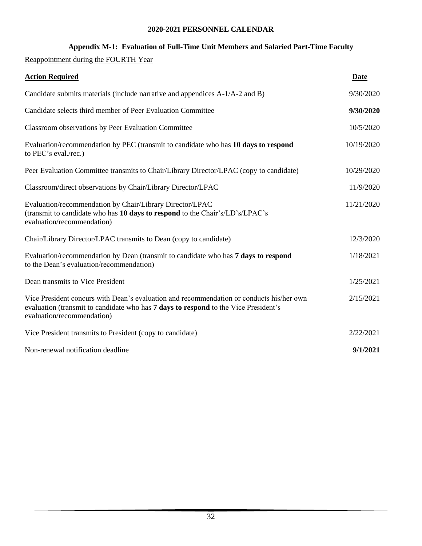#### **Appendix M-1: Evaluation of Full-Time Unit Members and Salaried Part-Time Faculty**

Reappointment during the FOURTH Year

| <b>Action Required</b>                                                                                                                                                                                        | Date       |
|---------------------------------------------------------------------------------------------------------------------------------------------------------------------------------------------------------------|------------|
| Candidate submits materials (include narrative and appendices A-1/A-2 and B)                                                                                                                                  | 9/30/2020  |
| Candidate selects third member of Peer Evaluation Committee                                                                                                                                                   | 9/30/2020  |
| Classroom observations by Peer Evaluation Committee                                                                                                                                                           | 10/5/2020  |
| Evaluation/recommendation by PEC (transmit to candidate who has 10 days to respond<br>to PEC's eval./rec.)                                                                                                    | 10/19/2020 |
| Peer Evaluation Committee transmits to Chair/Library Director/LPAC (copy to candidate)                                                                                                                        | 10/29/2020 |
| Classroom/direct observations by Chair/Library Director/LPAC                                                                                                                                                  | 11/9/2020  |
| Evaluation/recommendation by Chair/Library Director/LPAC<br>(transmit to candidate who has 10 days to respond to the Chair's/LD's/LPAC's<br>evaluation/recommendation)                                        | 11/21/2020 |
| Chair/Library Director/LPAC transmits to Dean (copy to candidate)                                                                                                                                             | 12/3/2020  |
| Evaluation/recommendation by Dean (transmit to candidate who has 7 days to respond<br>to the Dean's evaluation/recommendation)                                                                                | 1/18/2021  |
| Dean transmits to Vice President                                                                                                                                                                              | 1/25/2021  |
| Vice President concurs with Dean's evaluation and recommendation or conducts his/her own<br>evaluation (transmit to candidate who has 7 days to respond to the Vice President's<br>evaluation/recommendation) | 2/15/2021  |
| Vice President transmits to President (copy to candidate)                                                                                                                                                     | 2/22/2021  |
| Non-renewal notification deadline                                                                                                                                                                             | 9/1/2021   |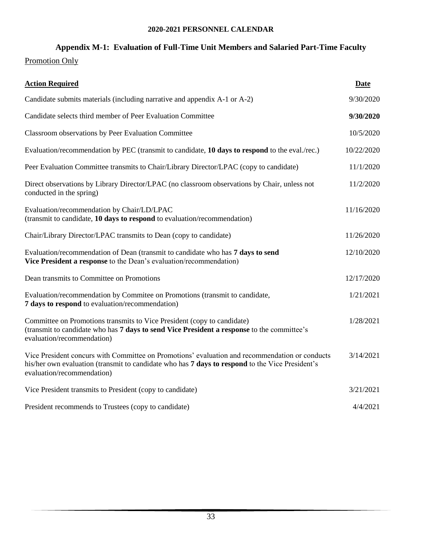## **Appendix M-1: Evaluation of Full-Time Unit Members and Salaried Part-Time Faculty**

## Promotion Only

| <b>Action Required</b>                                                                                                                                                                                                          | <b>Date</b> |
|---------------------------------------------------------------------------------------------------------------------------------------------------------------------------------------------------------------------------------|-------------|
| Candidate submits materials (including narrative and appendix A-1 or A-2)                                                                                                                                                       | 9/30/2020   |
| Candidate selects third member of Peer Evaluation Committee                                                                                                                                                                     | 9/30/2020   |
| Classroom observations by Peer Evaluation Committee                                                                                                                                                                             | 10/5/2020   |
| Evaluation/recommendation by PEC (transmit to candidate, 10 days to respond to the eval./rec.)                                                                                                                                  | 10/22/2020  |
| Peer Evaluation Committee transmits to Chair/Library Director/LPAC (copy to candidate)                                                                                                                                          | 11/1/2020   |
| Direct observations by Library Director/LPAC (no classroom observations by Chair, unless not<br>conducted in the spring)                                                                                                        | 11/2/2020   |
| Evaluation/recommendation by Chair/LD/LPAC<br>(transmit to candidate, 10 days to respond to evaluation/recommendation)                                                                                                          | 11/16/2020  |
| Chair/Library Director/LPAC transmits to Dean (copy to candidate)                                                                                                                                                               | 11/26/2020  |
| Evaluation/recommendation of Dean (transmit to candidate who has 7 days to send<br>Vice President a response to the Dean's evaluation/recommendation)                                                                           | 12/10/2020  |
| Dean transmits to Committee on Promotions                                                                                                                                                                                       | 12/17/2020  |
| Evaluation/recommendation by Commitee on Promotions (transmit to candidate,<br>7 days to respond to evaluation/recommendation)                                                                                                  | 1/21/2021   |
| Committee on Promotions transmits to Vice President (copy to candidate)<br>(transmit to candidate who has 7 days to send Vice President a response to the committee's<br>evaluation/recommendation)                             | 1/28/2021   |
| Vice President concurs with Committee on Promotions' evaluation and recommendation or conducts<br>his/her own evaluation (transmit to candidate who has 7 days to respond to the Vice President's<br>evaluation/recommendation) | 3/14/2021   |
| Vice President transmits to President (copy to candidate)                                                                                                                                                                       | 3/21/2021   |
| President recommends to Trustees (copy to candidate)                                                                                                                                                                            | 4/4/2021    |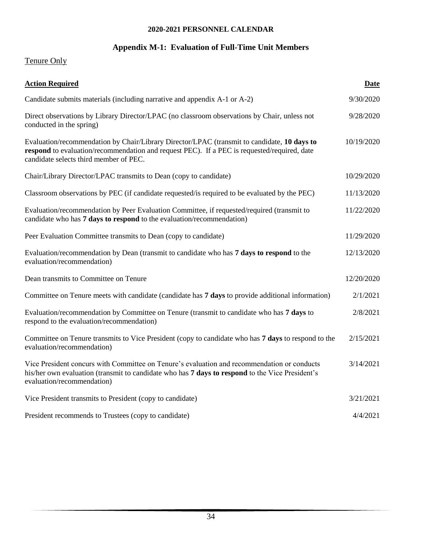## **Appendix M-1: Evaluation of Full-Time Unit Members**

# Tenure Only

| <b>Action Required</b>                                                                                                                                                                                                               | <b>Date</b> |
|--------------------------------------------------------------------------------------------------------------------------------------------------------------------------------------------------------------------------------------|-------------|
| Candidate submits materials (including narrative and appendix A-1 or A-2)                                                                                                                                                            | 9/30/2020   |
| Direct observations by Library Director/LPAC (no classroom observations by Chair, unless not<br>conducted in the spring)                                                                                                             | 9/28/2020   |
| Evaluation/recommendation by Chair/Library Director/LPAC (transmit to candidate, 10 days to<br>respond to evaluation/recommendation and request PEC). If a PEC is requested/required, date<br>candidate selects third member of PEC. | 10/19/2020  |
| Chair/Library Director/LPAC transmits to Dean (copy to candidate)                                                                                                                                                                    | 10/29/2020  |
| Classroom observations by PEC (if candidate requested/is required to be evaluated by the PEC)                                                                                                                                        | 11/13/2020  |
| Evaluation/recommendation by Peer Evaluation Committee, if requested/required (transmit to<br>candidate who has 7 days to respond to the evaluation/recommendation)                                                                  | 11/22/2020  |
| Peer Evaluation Committee transmits to Dean (copy to candidate)                                                                                                                                                                      | 11/29/2020  |
| Evaluation/recommendation by Dean (transmit to candidate who has 7 days to respond to the<br>evaluation/recommendation)                                                                                                              | 12/13/2020  |
| Dean transmits to Committee on Tenure                                                                                                                                                                                                | 12/20/2020  |
| Committee on Tenure meets with candidate (candidate has 7 days to provide additional information)                                                                                                                                    | 2/1/2021    |
| Evaluation/recommendation by Committee on Tenure (transmit to candidate who has 7 days to<br>respond to the evaluation/recommendation)                                                                                               | 2/8/2021    |
| Committee on Tenure transmits to Vice President (copy to candidate who has 7 days to respond to the<br>evaluation/recommendation)                                                                                                    | 2/15/2021   |
| Vice President concurs with Committee on Tenure's evaluation and recommendation or conducts<br>his/her own evaluation (transmit to candidate who has 7 days to respond to the Vice President's<br>evaluation/recommendation)         | 3/14/2021   |
| Vice President transmits to President (copy to candidate)                                                                                                                                                                            | 3/21/2021   |
| President recommends to Trustees (copy to candidate)                                                                                                                                                                                 | 4/4/2021    |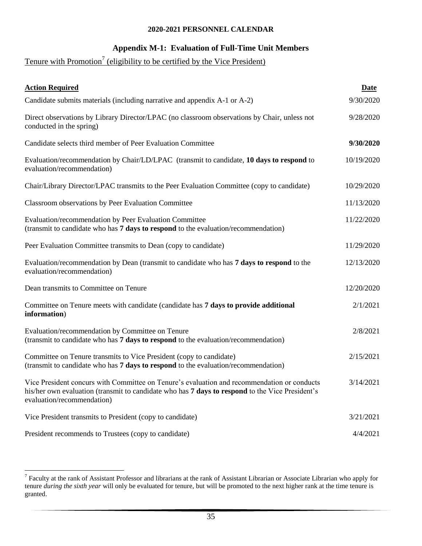#### **Appendix M-1: Evaluation of Full-Time Unit Members**

#### Tenure with Promotion<sup>7</sup> (eligibility to be certified by the Vice President)

| <b>Action Required</b>                                                                                                                                                                                                       | <b>Date</b> |
|------------------------------------------------------------------------------------------------------------------------------------------------------------------------------------------------------------------------------|-------------|
| Candidate submits materials (including narrative and appendix A-1 or A-2)                                                                                                                                                    | 9/30/2020   |
| Direct observations by Library Director/LPAC (no classroom observations by Chair, unless not<br>conducted in the spring)                                                                                                     | 9/28/2020   |
| Candidate selects third member of Peer Evaluation Committee                                                                                                                                                                  | 9/30/2020   |
| Evaluation/recommendation by Chair/LD/LPAC (transmit to candidate, 10 days to respond to<br>evaluation/recommendation)                                                                                                       | 10/19/2020  |
| Chair/Library Director/LPAC transmits to the Peer Evaluation Committee (copy to candidate)                                                                                                                                   | 10/29/2020  |
| Classroom observations by Peer Evaluation Committee                                                                                                                                                                          | 11/13/2020  |
| Evaluation/recommendation by Peer Evaluation Committee<br>(transmit to candidate who has 7 days to respond to the evaluation/recommendation)                                                                                 | 11/22/2020  |
| Peer Evaluation Committee transmits to Dean (copy to candidate)                                                                                                                                                              | 11/29/2020  |
| Evaluation/recommendation by Dean (transmit to candidate who has 7 days to respond to the<br>evaluation/recommendation)                                                                                                      | 12/13/2020  |
| Dean transmits to Committee on Tenure                                                                                                                                                                                        | 12/20/2020  |
| Committee on Tenure meets with candidate (candidate has 7 days to provide additional<br>information)                                                                                                                         | 2/1/2021    |
| Evaluation/recommendation by Committee on Tenure<br>(transmit to candidate who has 7 days to respond to the evaluation/recommendation)                                                                                       | 2/8/2021    |
| Committee on Tenure transmits to Vice President (copy to candidate)<br>(transmit to candidate who has 7 days to respond to the evaluation/recommendation)                                                                    | 2/15/2021   |
| Vice President concurs with Committee on Tenure's evaluation and recommendation or conducts<br>his/her own evaluation (transmit to candidate who has 7 days to respond to the Vice President's<br>evaluation/recommendation) | 3/14/2021   |
| Vice President transmits to President (copy to candidate)                                                                                                                                                                    | 3/21/2021   |
| President recommends to Trustees (copy to candidate)                                                                                                                                                                         | 4/4/2021    |

 $\overline{a}$ 

<sup>&</sup>lt;sup>7</sup> Faculty at the rank of Assistant Professor and librarians at the rank of Assistant Librarian or Associate Librarian who apply for tenure *during the sixth year* will only be evaluated for tenure, but will be promoted to the next higher rank at the time tenure is granted.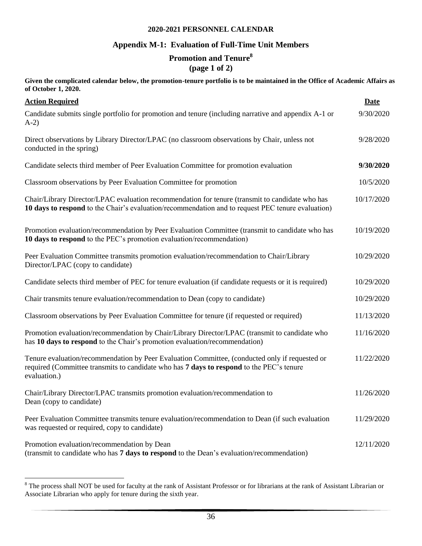#### **Appendix M-1: Evaluation of Full-Time Unit Members**

# **Promotion and Tenure<sup>8</sup>**

**(page 1 of 2)**

**Given the complicated calendar below, the promotion-tenure portfolio is to be maintained in the Office of Academic Affairs as of October 1, 2020.**

| <b>Action Required</b>                                                                                                                                                                                     | Date       |
|------------------------------------------------------------------------------------------------------------------------------------------------------------------------------------------------------------|------------|
| Candidate submits single portfolio for promotion and tenure (including narrative and appendix A-1 or<br>$A-2)$                                                                                             | 9/30/2020  |
| Direct observations by Library Director/LPAC (no classroom observations by Chair, unless not<br>conducted in the spring)                                                                                   | 9/28/2020  |
| Candidate selects third member of Peer Evaluation Committee for promotion evaluation                                                                                                                       | 9/30/2020  |
| Classroom observations by Peer Evaluation Committee for promotion                                                                                                                                          | 10/5/2020  |
| Chair/Library Director/LPAC evaluation recommendation for tenure (transmit to candidate who has<br>10 days to respond to the Chair's evaluation/recommendation and to request PEC tenure evaluation)       | 10/17/2020 |
| Promotion evaluation/recommendation by Peer Evaluation Committee (transmit to candidate who has<br>10 days to respond to the PEC's promotion evaluation/recommendation)                                    | 10/19/2020 |
| Peer Evaluation Committee transmits promotion evaluation/recommendation to Chair/Library<br>Director/LPAC (copy to candidate)                                                                              | 10/29/2020 |
| Candidate selects third member of PEC for tenure evaluation (if candidate requests or it is required)                                                                                                      | 10/29/2020 |
| Chair transmits tenure evaluation/recommendation to Dean (copy to candidate)                                                                                                                               | 10/29/2020 |
| Classroom observations by Peer Evaluation Committee for tenure (if requested or required)                                                                                                                  | 11/13/2020 |
| Promotion evaluation/recommendation by Chair/Library Director/LPAC (transmit to candidate who<br>has 10 days to respond to the Chair's promotion evaluation/recommendation)                                | 11/16/2020 |
| Tenure evaluation/recommendation by Peer Evaluation Committee, (conducted only if requested or<br>required (Committee transmits to candidate who has 7 days to respond to the PEC's tenure<br>evaluation.) | 11/22/2020 |
| Chair/Library Director/LPAC transmits promotion evaluation/recommendation to<br>Dean (copy to candidate)                                                                                                   | 11/26/2020 |
| Peer Evaluation Committee transmits tenure evaluation/recommendation to Dean (if such evaluation<br>was requested or required, copy to candidate)                                                          | 11/29/2020 |
| Promotion evaluation/recommendation by Dean<br>(transmit to candidate who has 7 days to respond to the Dean's evaluation/recommendation)                                                                   | 12/11/2020 |

 $8$  The process shall NOT be used for faculty at the rank of Assistant Professor or for librarians at the rank of Assistant Librarian or Associate Librarian who apply for tenure during the sixth year.

 $\overline{a}$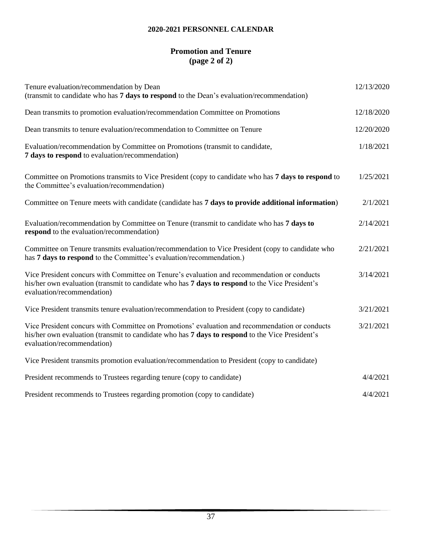## **Promotion and Tenure (page 2 of 2)**

| Tenure evaluation/recommendation by Dean<br>(transmit to candidate who has 7 days to respond to the Dean's evaluation/recommendation)                                                                                           | 12/13/2020 |
|---------------------------------------------------------------------------------------------------------------------------------------------------------------------------------------------------------------------------------|------------|
| Dean transmits to promotion evaluation/recommendation Committee on Promotions                                                                                                                                                   | 12/18/2020 |
| Dean transmits to tenure evaluation/recommendation to Committee on Tenure                                                                                                                                                       | 12/20/2020 |
| Evaluation/recommendation by Committee on Promotions (transmit to candidate,<br>7 days to respond to evaluation/recommendation)                                                                                                 | 1/18/2021  |
| Committee on Promotions transmits to Vice President (copy to candidate who has 7 days to respond to<br>the Committee's evaluation/recommendation)                                                                               | 1/25/2021  |
| Committee on Tenure meets with candidate (candidate has 7 days to provide additional information)                                                                                                                               | 2/1/2021   |
| Evaluation/recommendation by Committee on Tenure (transmit to candidate who has 7 days to<br>respond to the evaluation/recommendation)                                                                                          | 2/14/2021  |
| Committee on Tenure transmits evaluation/recommendation to Vice President (copy to candidate who<br>has 7 days to respond to the Committee's evaluation/recommendation.)                                                        | 2/21/2021  |
| Vice President concurs with Committee on Tenure's evaluation and recommendation or conducts<br>his/her own evaluation (transmit to candidate who has 7 days to respond to the Vice President's<br>evaluation/recommendation)    | 3/14/2021  |
| Vice President transmits tenure evaluation/recommendation to President (copy to candidate)                                                                                                                                      | 3/21/2021  |
| Vice President concurs with Committee on Promotions' evaluation and recommendation or conducts<br>his/her own evaluation (transmit to candidate who has 7 days to respond to the Vice President's<br>evaluation/recommendation) | 3/21/2021  |
| Vice President transmits promotion evaluation/recommendation to President (copy to candidate)                                                                                                                                   |            |
| President recommends to Trustees regarding tenure (copy to candidate)                                                                                                                                                           | 4/4/2021   |
| President recommends to Trustees regarding promotion (copy to candidate)                                                                                                                                                        | 4/4/2021   |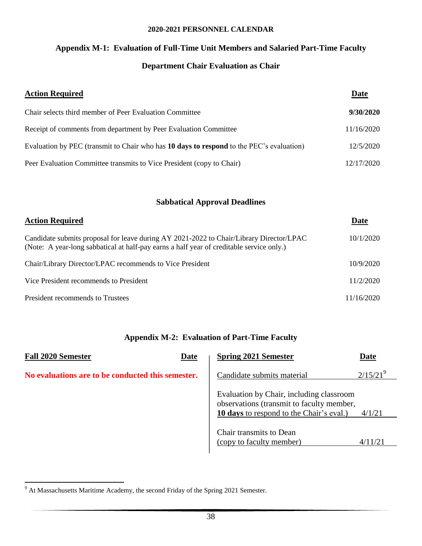# **Appendix M-1: Evaluation of Full-Time Unit Members and Salaried Part-Time Faculty**

## **Department Chair Evaluation as Chair**

| <b>Action Required</b>                                                                   | Date       |
|------------------------------------------------------------------------------------------|------------|
| Chair selects third member of Peer Evaluation Committee                                  | 9/30/2020  |
| Receipt of comments from department by Peer Evaluation Committee                         | 11/16/2020 |
| Evaluation by PEC (transmit to Chair who has 10 days to respond to the PEC's evaluation) | 12/5/2020  |
| Peer Evaluation Committee transmits to Vice President (copy to Chair)                    | 12/17/2020 |

#### **Sabbatical Approval Deadlines**

| <b>Action Required</b>                                                                                                                                                              | Date       |
|-------------------------------------------------------------------------------------------------------------------------------------------------------------------------------------|------------|
| Candidate submits proposal for leave during AY 2021-2022 to Chair/Library Director/LPAC<br>(Note: A year-long sabbatical at half-pay earns a half year of creditable service only.) | 10/1/2020  |
| Chair/Library Director/LPAC recommends to Vice President                                                                                                                            | 10/9/2020  |
| Vice President recommends to President                                                                                                                                              | 11/2/2020  |
| President recommends to Trustees                                                                                                                                                    | 11/16/2020 |

#### **Appendix M-2: Evaluation of Part-Time Faculty**

| <b>Fall 2020 Semester</b><br>Date                 | <b>Spring 2021 Semester</b><br><b>Date</b>                                                                                                         |
|---------------------------------------------------|----------------------------------------------------------------------------------------------------------------------------------------------------|
| No evaluations are to be conducted this semester. | $2/15/21^{9}$<br>Candidate submits material                                                                                                        |
|                                                   | Evaluation by Chair, including classroom<br>observations (transmit to faculty member,<br><b>10 days</b> to respond to the Chair's eval.)<br>4/1/21 |
|                                                   | Chair transmits to Dean<br>(copy to faculty member)<br>4/11/21                                                                                     |

 $\overline{a}$ 

 $9<sup>9</sup>$  At Massachusetts Maritime Academy, the second Friday of the Spring 2021 Semester.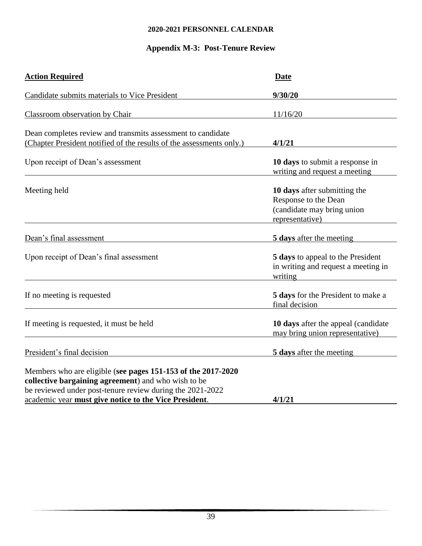## **Appendix M-3: Post-Tenure Review**

| <b>Action Required</b>                                                                                                                                                           | <b>Date</b>                                                                                           |
|----------------------------------------------------------------------------------------------------------------------------------------------------------------------------------|-------------------------------------------------------------------------------------------------------|
| Candidate submits materials to Vice President                                                                                                                                    | 9/30/20                                                                                               |
| <b>Classroom observation by Chair</b>                                                                                                                                            | 11/16/20                                                                                              |
| Dean completes review and transmits assessment to candidate<br>(Chapter President notified of the results of the assessments only.)                                              | 4/1/21                                                                                                |
| Upon receipt of Dean's assessment                                                                                                                                                | 10 days to submit a response in<br>writing and request a meeting                                      |
| Meeting held                                                                                                                                                                     | 10 days after submitting the<br>Response to the Dean<br>(candidate may bring union<br>representative) |
| Dean's final assessment                                                                                                                                                          | 5 days after the meeting                                                                              |
| Upon receipt of Dean's final assessment                                                                                                                                          | 5 days to appeal to the President<br>in writing and request a meeting in<br>writing                   |
| If no meeting is requested                                                                                                                                                       | 5 days for the President to make a<br>final decision                                                  |
| If meeting is requested, it must be held                                                                                                                                         | 10 days after the appeal (candidate)<br>may bring union representative)                               |
| President's final decision                                                                                                                                                       | 5 days after the meeting                                                                              |
| Members who are eligible (see pages 151-153 of the 2017-2020<br>collective bargaining agreement) and who wish to be<br>be reviewed under post-tenure review during the 2021-2022 |                                                                                                       |
| academic year must give notice to the Vice President.                                                                                                                            | 4/1/21                                                                                                |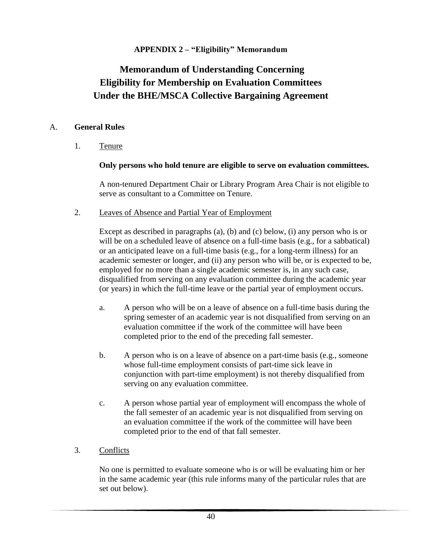## **APPENDIX 2 – "Eligibility" Memorandum**

# **Memorandum of Understanding Concerning Eligibility for Membership on Evaluation Committees Under the BHE/MSCA Collective Bargaining Agreement**

#### A. **General Rules**

1. Tenure

#### **Only persons who hold tenure are eligible to serve on evaluation committees.**

A non-tenured Department Chair or Library Program Area Chair is not eligible to serve as consultant to a Committee on Tenure.

2. Leaves of Absence and Partial Year of Employment

Except as described in paragraphs (a), (b) and (c) below, (i) any person who is or will be on a scheduled leave of absence on a full-time basis (e.g., for a sabbatical) or an anticipated leave on a full-time basis (e.g., for a long-term illness) for an academic semester or longer, and (ii) any person who will be, or is expected to be, employed for no more than a single academic semester is, in any such case, disqualified from serving on any evaluation committee during the academic year (or years) in which the full-time leave or the partial year of employment occurs.

- a. A person who will be on a leave of absence on a full-time basis during the spring semester of an academic year is not disqualified from serving on an evaluation committee if the work of the committee will have been completed prior to the end of the preceding fall semester.
- b. A person who is on a leave of absence on a part-time basis (e.g., someone whose full-time employment consists of part-time sick leave in conjunction with part-time employment) is not thereby disqualified from serving on any evaluation committee.
- c. A person whose partial year of employment will encompass the whole of the fall semester of an academic year is not disqualified from serving on an evaluation committee if the work of the committee will have been completed prior to the end of that fall semester.
- 3. Conflicts

No one is permitted to evaluate someone who is or will be evaluating him or her in the same academic year (this rule informs many of the particular rules that are set out below).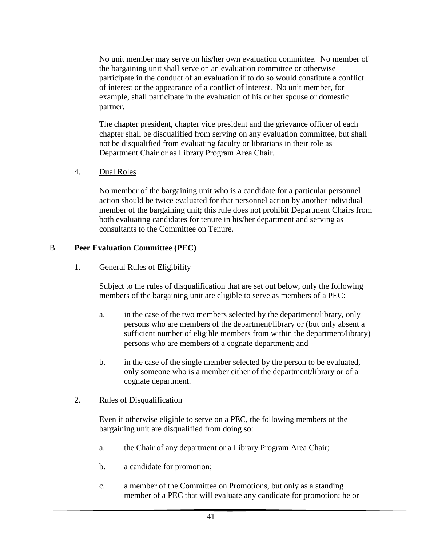No unit member may serve on his/her own evaluation committee. No member of the bargaining unit shall serve on an evaluation committee or otherwise participate in the conduct of an evaluation if to do so would constitute a conflict of interest or the appearance of a conflict of interest. No unit member, for example, shall participate in the evaluation of his or her spouse or domestic partner.

The chapter president, chapter vice president and the grievance officer of each chapter shall be disqualified from serving on any evaluation committee, but shall not be disqualified from evaluating faculty or librarians in their role as Department Chair or as Library Program Area Chair.

4. Dual Roles

No member of the bargaining unit who is a candidate for a particular personnel action should be twice evaluated for that personnel action by another individual member of the bargaining unit; this rule does not prohibit Department Chairs from both evaluating candidates for tenure in his/her department and serving as consultants to the Committee on Tenure.

#### B. **Peer Evaluation Committee (PEC)**

1. General Rules of Eligibility

Subject to the rules of disqualification that are set out below, only the following members of the bargaining unit are eligible to serve as members of a PEC:

- a. in the case of the two members selected by the department/library, only persons who are members of the department/library or (but only absent a sufficient number of eligible members from within the department/library) persons who are members of a cognate department; and
- b. in the case of the single member selected by the person to be evaluated, only someone who is a member either of the department/library or of a cognate department.

## 2. Rules of Disqualification

Even if otherwise eligible to serve on a PEC, the following members of the bargaining unit are disqualified from doing so:

- a. the Chair of any department or a Library Program Area Chair;
- b. a candidate for promotion;
- c. a member of the Committee on Promotions, but only as a standing member of a PEC that will evaluate any candidate for promotion; he or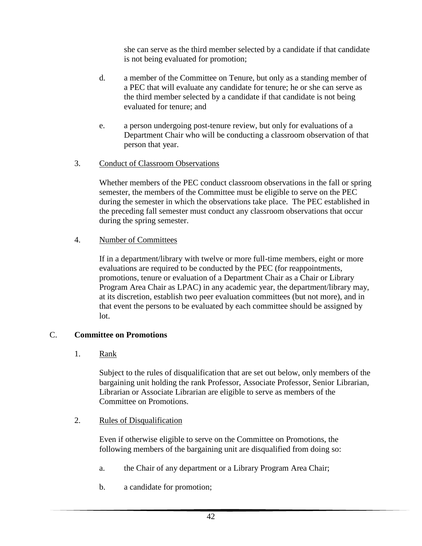she can serve as the third member selected by a candidate if that candidate is not being evaluated for promotion;

- d. a member of the Committee on Tenure, but only as a standing member of a PEC that will evaluate any candidate for tenure; he or she can serve as the third member selected by a candidate if that candidate is not being evaluated for tenure; and
- e. a person undergoing post-tenure review, but only for evaluations of a Department Chair who will be conducting a classroom observation of that person that year.

## 3. Conduct of Classroom Observations

Whether members of the PEC conduct classroom observations in the fall or spring semester, the members of the Committee must be eligible to serve on the PEC during the semester in which the observations take place. The PEC established in the preceding fall semester must conduct any classroom observations that occur during the spring semester.

## 4. Number of Committees

If in a department/library with twelve or more full-time members, eight or more evaluations are required to be conducted by the PEC (for reappointments, promotions, tenure or evaluation of a Department Chair as a Chair or Library Program Area Chair as LPAC) in any academic year, the department/library may, at its discretion, establish two peer evaluation committees (but not more), and in that event the persons to be evaluated by each committee should be assigned by lot.

## C. **Committee on Promotions**

1. Rank

Subject to the rules of disqualification that are set out below, only members of the bargaining unit holding the rank Professor, Associate Professor, Senior Librarian, Librarian or Associate Librarian are eligible to serve as members of the Committee on Promotions.

## 2. Rules of Disqualification

Even if otherwise eligible to serve on the Committee on Promotions, the following members of the bargaining unit are disqualified from doing so:

- a. the Chair of any department or a Library Program Area Chair;
- b. a candidate for promotion;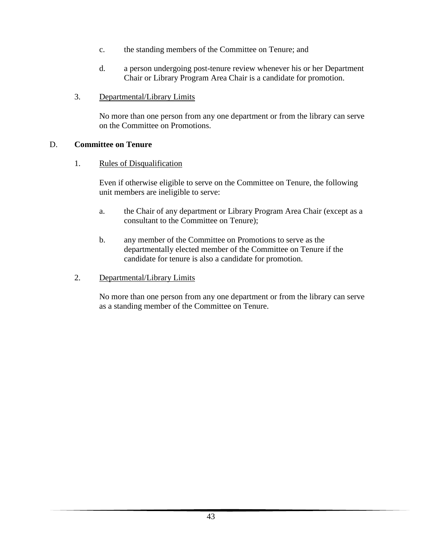- c. the standing members of the Committee on Tenure; and
- d. a person undergoing post-tenure review whenever his or her Department Chair or Library Program Area Chair is a candidate for promotion.
- 3. Departmental/Library Limits

No more than one person from any one department or from the library can serve on the Committee on Promotions.

#### D. **Committee on Tenure**

1. Rules of Disqualification

Even if otherwise eligible to serve on the Committee on Tenure, the following unit members are ineligible to serve:

- a. the Chair of any department or Library Program Area Chair (except as a consultant to the Committee on Tenure);
- b. any member of the Committee on Promotions to serve as the departmentally elected member of the Committee on Tenure if the candidate for tenure is also a candidate for promotion.
- 2. Departmental/Library Limits

No more than one person from any one department or from the library can serve as a standing member of the Committee on Tenure.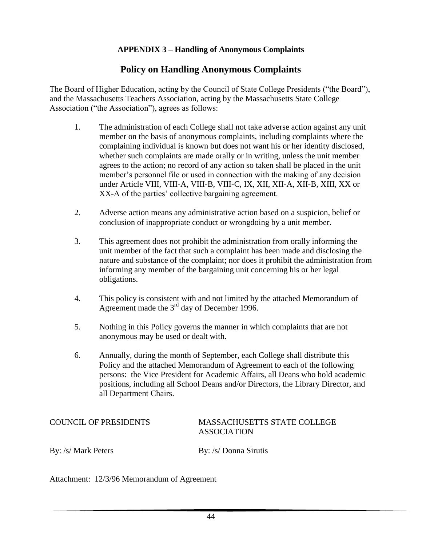## **APPENDIX 3 – Handling of Anonymous Complaints**

## **Policy on Handling Anonymous Complaints**

The Board of Higher Education, acting by the Council of State College Presidents ("the Board"), and the Massachusetts Teachers Association, acting by the Massachusetts State College Association ("the Association"), agrees as follows:

- 1. The administration of each College shall not take adverse action against any unit member on the basis of anonymous complaints, including complaints where the complaining individual is known but does not want his or her identity disclosed, whether such complaints are made orally or in writing, unless the unit member agrees to the action; no record of any action so taken shall be placed in the unit member's personnel file or used in connection with the making of any decision under Article VIII, VIII-A, VIII-B, VIII-C, IX, XII, XII-A, XII-B, XIII, XX or XX-A of the parties' collective bargaining agreement.
- 2. Adverse action means any administrative action based on a suspicion, belief or conclusion of inappropriate conduct or wrongdoing by a unit member.
- 3. This agreement does not prohibit the administration from orally informing the unit member of the fact that such a complaint has been made and disclosing the nature and substance of the complaint; nor does it prohibit the administration from informing any member of the bargaining unit concerning his or her legal obligations.
- 4. This policy is consistent with and not limited by the attached Memorandum of Agreement made the 3<sup>rd</sup> day of December 1996.
- 5. Nothing in this Policy governs the manner in which complaints that are not anonymous may be used or dealt with.
- 6. Annually, during the month of September, each College shall distribute this Policy and the attached Memorandum of Agreement to each of the following persons: the Vice President for Academic Affairs, all Deans who hold academic positions, including all School Deans and/or Directors, the Library Director, and all Department Chairs.

#### COUNCIL OF PRESIDENTS MASSACHUSETTS STATE COLLEGE ASSOCIATION

By: /s/ Mark Peters By: /s/ Donna Sirutis

Attachment: 12/3/96 Memorandum of Agreement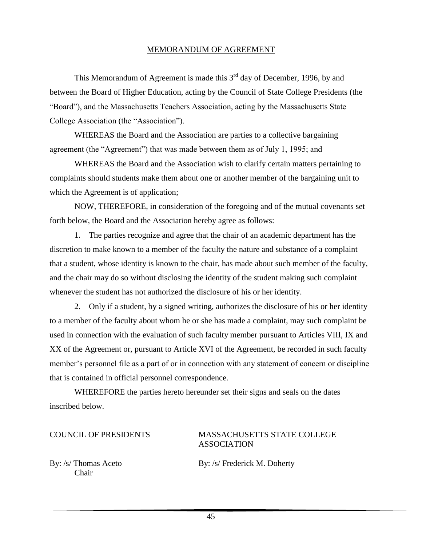#### MEMORANDUM OF AGREEMENT

This Memorandum of Agreement is made this  $3<sup>rd</sup>$  day of December, 1996, by and between the Board of Higher Education, acting by the Council of State College Presidents (the "Board"), and the Massachusetts Teachers Association, acting by the Massachusetts State College Association (the "Association").

WHEREAS the Board and the Association are parties to a collective bargaining agreement (the "Agreement") that was made between them as of July 1, 1995; and

WHEREAS the Board and the Association wish to clarify certain matters pertaining to complaints should students make them about one or another member of the bargaining unit to which the Agreement is of application;

NOW, THEREFORE, in consideration of the foregoing and of the mutual covenants set forth below, the Board and the Association hereby agree as follows:

1. The parties recognize and agree that the chair of an academic department has the discretion to make known to a member of the faculty the nature and substance of a complaint that a student, whose identity is known to the chair, has made about such member of the faculty, and the chair may do so without disclosing the identity of the student making such complaint whenever the student has not authorized the disclosure of his or her identity.

2. Only if a student, by a signed writing, authorizes the disclosure of his or her identity to a member of the faculty about whom he or she has made a complaint, may such complaint be used in connection with the evaluation of such faculty member pursuant to Articles VIII, IX and XX of the Agreement or, pursuant to Article XVI of the Agreement, be recorded in such faculty member's personnel file as a part of or in connection with any statement of concern or discipline that is contained in official personnel correspondence.

WHEREFORE the parties hereto hereunder set their signs and seals on the dates inscribed below.

#### COUNCIL OF PRESIDENTS MASSACHUSETTS STATE COLLEGE ASSOCIATION

Chair

By: /s/ Thomas Aceto By: /s/ Frederick M. Doherty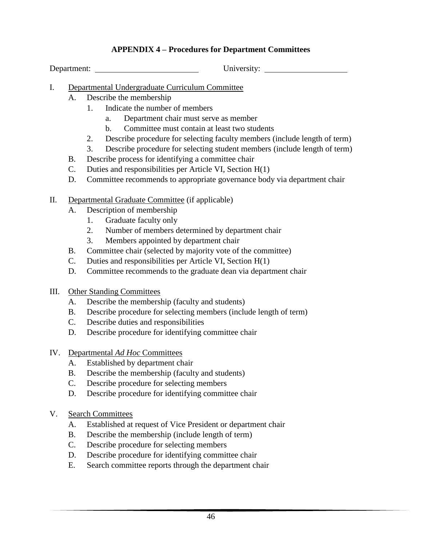### **APPENDIX 4 – Procedures for Department Committees**

Department: University:

- I. Departmental Undergraduate Curriculum Committee
	- A. Describe the membership
		- 1. Indicate the number of members
			- a. Department chair must serve as member
			- b. Committee must contain at least two students
			- 2. Describe procedure for selecting faculty members (include length of term)
		- 3. Describe procedure for selecting student members (include length of term)
	- B. Describe process for identifying a committee chair
	- C. Duties and responsibilities per Article VI, Section H(1)
	- D. Committee recommends to appropriate governance body via department chair
- II. Departmental Graduate Committee (if applicable)
	- A. Description of membership
		- 1. Graduate faculty only
		- 2. Number of members determined by department chair
		- 3. Members appointed by department chair
	- B. Committee chair (selected by majority vote of the committee)
	- C. Duties and responsibilities per Article VI, Section H(1)
	- D. Committee recommends to the graduate dean via department chair
- III. Other Standing Committees
	- A. Describe the membership (faculty and students)
	- B. Describe procedure for selecting members (include length of term)
	- C. Describe duties and responsibilities
	- D. Describe procedure for identifying committee chair
- IV. Departmental *Ad Hoc* Committees
	- A. Established by department chair
	- B. Describe the membership (faculty and students)
	- C. Describe procedure for selecting members
	- D. Describe procedure for identifying committee chair
- V. Search Committees
	- A. Established at request of Vice President or department chair
	- B. Describe the membership (include length of term)
	- C. Describe procedure for selecting members
	- D. Describe procedure for identifying committee chair
	- E. Search committee reports through the department chair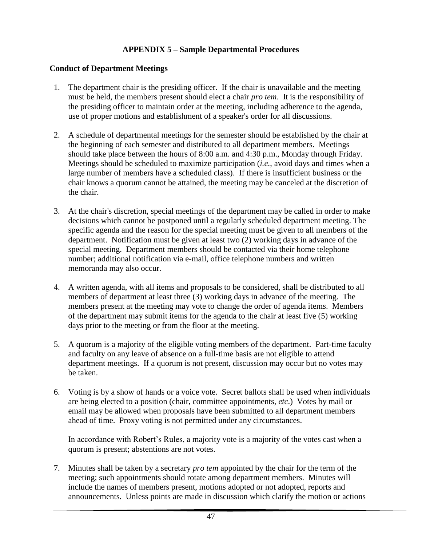## **APPENDIX 5 – Sample Departmental Procedures**

#### **Conduct of Department Meetings**

- 1. The department chair is the presiding officer. If the chair is unavailable and the meeting must be held, the members present should elect a chair *pro tem*. It is the responsibility of the presiding officer to maintain order at the meeting, including adherence to the agenda, use of proper motions and establishment of a speaker's order for all discussions.
- 2. A schedule of departmental meetings for the semester should be established by the chair at the beginning of each semester and distributed to all department members. Meetings should take place between the hours of 8:00 a.m. and 4:30 p.m., Monday through Friday. Meetings should be scheduled to maximize participation (*i.e.*, avoid days and times when a large number of members have a scheduled class). If there is insufficient business or the chair knows a quorum cannot be attained, the meeting may be canceled at the discretion of the chair.
- 3. At the chair's discretion, special meetings of the department may be called in order to make decisions which cannot be postponed until a regularly scheduled department meeting. The specific agenda and the reason for the special meeting must be given to all members of the department. Notification must be given at least two (2) working days in advance of the special meeting. Department members should be contacted via their home telephone number; additional notification via e-mail, office telephone numbers and written memoranda may also occur.
- 4. A written agenda, with all items and proposals to be considered, shall be distributed to all members of department at least three (3) working days in advance of the meeting. The members present at the meeting may vote to change the order of agenda items. Members of the department may submit items for the agenda to the chair at least five (5) working days prior to the meeting or from the floor at the meeting.
- 5. A quorum is a majority of the eligible voting members of the department. Part-time faculty and faculty on any leave of absence on a full-time basis are not eligible to attend department meetings. If a quorum is not present, discussion may occur but no votes may be taken.
- 6. Voting is by a show of hands or a voice vote. Secret ballots shall be used when individuals are being elected to a position (chair, committee appointments, *etc*.) Votes by mail or email may be allowed when proposals have been submitted to all department members ahead of time. Proxy voting is not permitted under any circumstances.

In accordance with Robert's Rules, a majority vote is a majority of the votes cast when a quorum is present; abstentions are not votes.

 7. Minutes shall be taken by a secretary *pro tem* appointed by the chair for the term of the meeting; such appointments should rotate among department members. Minutes will include the names of members present, motions adopted or not adopted, reports and announcements. Unless points are made in discussion which clarify the motion or actions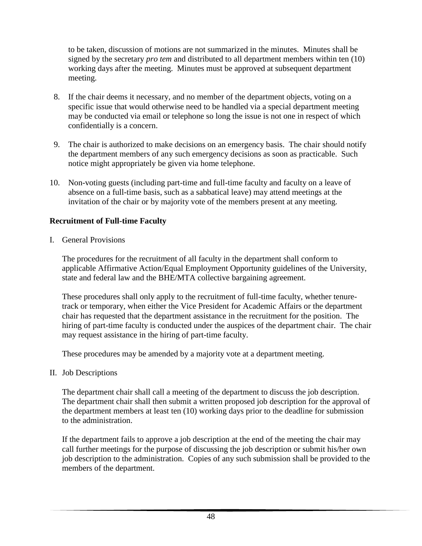to be taken, discussion of motions are not summarized in the minutes. Minutes shall be signed by the secretary *pro tem* and distributed to all department members within ten (10) working days after the meeting. Minutes must be approved at subsequent department meeting.

- 8. If the chair deems it necessary, and no member of the department objects, voting on a specific issue that would otherwise need to be handled via a special department meeting may be conducted via email or telephone so long the issue is not one in respect of which confidentially is a concern.
- 9. The chair is authorized to make decisions on an emergency basis. The chair should notify the department members of any such emergency decisions as soon as practicable. Such notice might appropriately be given via home telephone.
- 10. Non-voting guests (including part-time and full-time faculty and faculty on a leave of absence on a full-time basis, such as a sabbatical leave) may attend meetings at the invitation of the chair or by majority vote of the members present at any meeting.

#### **Recruitment of Full-time Faculty**

I. General Provisions

The procedures for the recruitment of all faculty in the department shall conform to applicable Affirmative Action/Equal Employment Opportunity guidelines of the University, state and federal law and the BHE/MTA collective bargaining agreement.

These procedures shall only apply to the recruitment of full-time faculty, whether tenuretrack or temporary, when either the Vice President for Academic Affairs or the department chair has requested that the department assistance in the recruitment for the position. The hiring of part-time faculty is conducted under the auspices of the department chair. The chair may request assistance in the hiring of part-time faculty.

These procedures may be amended by a majority vote at a department meeting.

II. Job Descriptions

The department chair shall call a meeting of the department to discuss the job description. The department chair shall then submit a written proposed job description for the approval of the department members at least ten (10) working days prior to the deadline for submission to the administration.

If the department fails to approve a job description at the end of the meeting the chair may call further meetings for the purpose of discussing the job description or submit his/her own job description to the administration. Copies of any such submission shall be provided to the members of the department.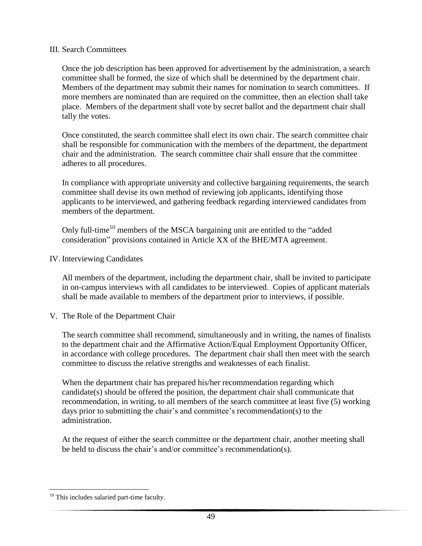#### III. Search Committees

Once the job description has been approved for advertisement by the administration, a search committee shall be formed, the size of which shall be determined by the department chair. Members of the department may submit their names for nomination to search committees. If more members are nominated than are required on the committee, then an election shall take place. Members of the department shall vote by secret ballot and the department chair shall tally the votes.

Once constituted, the search committee shall elect its own chair. The search committee chair shall be responsible for communication with the members of the department, the department chair and the administration. The search committee chair shall ensure that the committee adheres to all procedures.

In compliance with appropriate university and collective bargaining requirements, the search committee shall devise its own method of reviewing job applicants, identifying those applicants to be interviewed, and gathering feedback regarding interviewed candidates from members of the department.

Only full-time<sup>10</sup> members of the MSCA bargaining unit are entitled to the "added" consideration" provisions contained in Article XX of the BHE/MTA agreement.

IV. Interviewing Candidates

All members of the department, including the department chair, shall be invited to participate in on-campus interviews with all candidates to be interviewed. Copies of applicant materials shall be made available to members of the department prior to interviews, if possible.

V. The Role of the Department Chair

The search committee shall recommend, simultaneously and in writing, the names of finalists to the department chair and the Affirmative Action/Equal Employment Opportunity Officer, in accordance with college procedures. The department chair shall then meet with the search committee to discuss the relative strengths and weaknesses of each finalist.

When the department chair has prepared his/her recommendation regarding which candidate(s) should be offered the position, the department chair shall communicate that recommendation, in writing, to all members of the search committee at least five (5) working days prior to submitting the chair's and committee's recommendation(s) to the administration.

At the request of either the search committee or the department chair, another meeting shall be held to discuss the chair's and/or committee's recommendation(s).

 $\overline{a}$ <sup>10</sup> This includes salaried part-time faculty.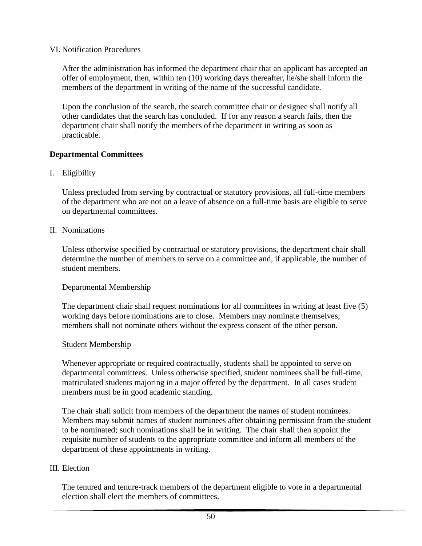VI. Notification Procedures

After the administration has informed the department chair that an applicant has accepted an offer of employment, then, within ten (10) working days thereafter, he/she shall inform the members of the department in writing of the name of the successful candidate.

Upon the conclusion of the search, the search committee chair or designee shall notify all other candidates that the search has concluded. If for any reason a search fails, then the department chair shall notify the members of the department in writing as soon as practicable.

## **Departmental Committees**

I. Eligibility

Unless precluded from serving by contractual or statutory provisions, all full-time members of the department who are not on a leave of absence on a full-time basis are eligible to serve on departmental committees.

II. Nominations

Unless otherwise specified by contractual or statutory provisions, the department chair shall determine the number of members to serve on a committee and, if applicable, the number of student members.

## Departmental Membership

The department chair shall request nominations for all committees in writing at least five (5) working days before nominations are to close. Members may nominate themselves; members shall not nominate others without the express consent of the other person.

#### Student Membership

Whenever appropriate or required contractually, students shall be appointed to serve on departmental committees. Unless otherwise specified, student nominees shall be full-time, matriculated students majoring in a major offered by the department. In all cases student members must be in good academic standing.

The chair shall solicit from members of the department the names of student nominees. Members may submit names of student nominees after obtaining permission from the student to be nominated; such nominations shall be in writing. The chair shall then appoint the requisite number of students to the appropriate committee and inform all members of the department of these appointments in writing.

## III. Election

The tenured and tenure-track members of the department eligible to vote in a departmental election shall elect the members of committees.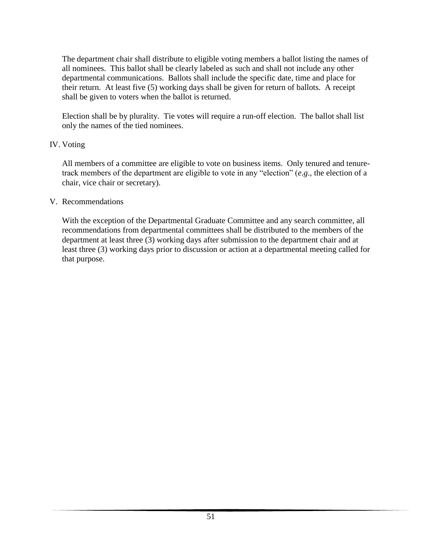The department chair shall distribute to eligible voting members a ballot listing the names of all nominees. This ballot shall be clearly labeled as such and shall not include any other departmental communications. Ballots shall include the specific date, time and place for their return. At least five (5) working days shall be given for return of ballots. A receipt shall be given to voters when the ballot is returned.

Election shall be by plurality. Tie votes will require a run-off election. The ballot shall list only the names of the tied nominees.

#### IV. Voting

All members of a committee are eligible to vote on business items. Only tenured and tenuretrack members of the department are eligible to vote in any "election" (*e*.*g*., the election of a chair, vice chair or secretary).

#### V. Recommendations

With the exception of the Departmental Graduate Committee and any search committee, all recommendations from departmental committees shall be distributed to the members of the department at least three (3) working days after submission to the department chair and at least three (3) working days prior to discussion or action at a departmental meeting called for that purpose.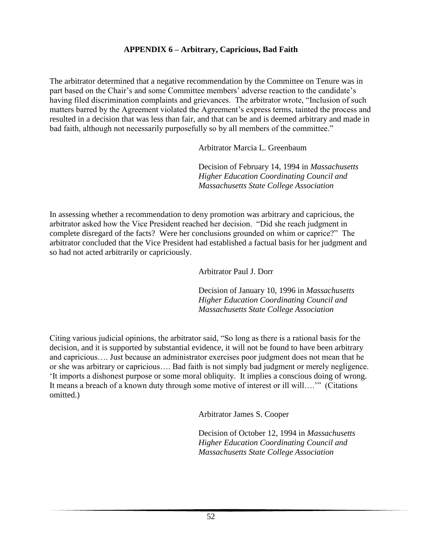#### **APPENDIX 6 – Arbitrary, Capricious, Bad Faith**

The arbitrator determined that a negative recommendation by the Committee on Tenure was in part based on the Chair's and some Committee members' adverse reaction to the candidate's having filed discrimination complaints and grievances. The arbitrator wrote, "Inclusion of such matters barred by the Agreement violated the Agreement's express terms, tainted the process and resulted in a decision that was less than fair, and that can be and is deemed arbitrary and made in bad faith, although not necessarily purposefully so by all members of the committee."

Arbitrator Marcia L. Greenbaum

Decision of February 14, 1994 in *Massachusetts Higher Education Coordinating Council and Massachusetts State College Association*

In assessing whether a recommendation to deny promotion was arbitrary and capricious, the arbitrator asked how the Vice President reached her decision. "Did she reach judgment in complete disregard of the facts? Were her conclusions grounded on whim or caprice?" The arbitrator concluded that the Vice President had established a factual basis for her judgment and so had not acted arbitrarily or capriciously.

Arbitrator Paul J. Dorr

Decision of January 10, 1996 in *Massachusetts Higher Education Coordinating Council and Massachusetts State College Association*

Citing various judicial opinions, the arbitrator said, "So long as there is a rational basis for the decision, and it is supported by substantial evidence, it will not be found to have been arbitrary and capricious…. Just because an administrator exercises poor judgment does not mean that he or she was arbitrary or capricious…. Bad faith is not simply bad judgment or merely negligence. 'It imports a dishonest purpose or some moral obliquity. It implies a conscious doing of wrong. It means a breach of a known duty through some motive of interest or ill will….'" (Citations omitted.)

Arbitrator James S. Cooper

Decision of October 12, 1994 in *Massachusetts Higher Education Coordinating Council and Massachusetts State College Association*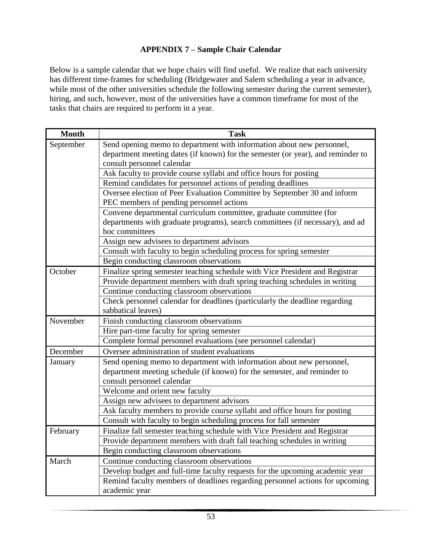## **APPENDIX 7 – Sample Chair Calendar**

Below is a sample calendar that we hope chairs will find useful. We realize that each university has different time-frames for scheduling (Bridgewater and Salem scheduling a year in advance, while most of the other universities schedule the following semester during the current semester), hiring, and such, however, most of the universities have a common timeframe for most of the tasks that chairs are required to perform in a year.

| <b>Month</b> | <b>Task</b>                                                                     |
|--------------|---------------------------------------------------------------------------------|
| September    | Send opening memo to department with information about new personnel,           |
|              | department meeting dates (if known) for the semester (or year), and reminder to |
|              | consult personnel calendar                                                      |
|              | Ask faculty to provide course syllabi and office hours for posting              |
|              | Remind candidates for personnel actions of pending deadlines                    |
|              | Oversee election of Peer Evaluation Committee by September 30 and inform        |
|              | PEC members of pending personnel actions                                        |
|              | Convene departmental curriculum committee, graduate committee (for              |
|              | departments with graduate programs), search committees (if necessary), and ad   |
|              | hoc committees                                                                  |
|              | Assign new advisees to department advisors                                      |
|              | Consult with faculty to begin scheduling process for spring semester            |
|              | Begin conducting classroom observations                                         |
| October      | Finalize spring semester teaching schedule with Vice President and Registrar    |
|              | Provide department members with draft spring teaching schedules in writing      |
|              | Continue conducting classroom observations                                      |
|              | Check personnel calendar for deadlines (particularly the deadline regarding     |
|              | sabbatical leaves)                                                              |
| November     | Finish conducting classroom observations                                        |
|              | Hire part-time faculty for spring semester                                      |
|              | Complete formal personnel evaluations (see personnel calendar)                  |
| December     | Oversee administration of student evaluations                                   |
| January      | Send opening memo to department with information about new personnel,           |
|              | department meeting schedule (if known) for the semester, and reminder to        |
|              | consult personnel calendar                                                      |
|              | Welcome and orient new faculty                                                  |
|              | Assign new advisees to department advisors                                      |
|              | Ask faculty members to provide course syllabi and office hours for posting      |
|              | Consult with faculty to begin scheduling process for fall semester              |
| February     | Finalize fall semester teaching schedule with Vice President and Registrar      |
|              | Provide department members with draft fall teaching schedules in writing        |
|              | Begin conducting classroom observations                                         |
| March        | Continue conducting classroom observations                                      |
|              | Develop budget and full-time faculty requests for the upcoming academic year    |
|              | Remind faculty members of deadlines regarding personnel actions for upcoming    |
|              | academic year                                                                   |